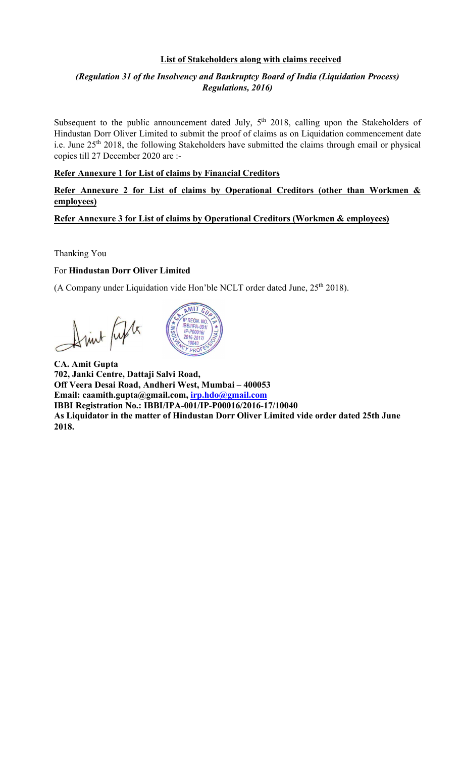#### List of Stakeholders along with claims received

#### (Regulation 31 of the Insolvency and Bankruptcy Board of India (Liquidation Process) Regulations, 2016)

Subsequent to the public announcement dated July, 5<sup>th</sup> 2018, calling upon the Stakeholders of Hindustan Dorr Oliver Limited to submit the proof of claims as on Liquidation commencement date i.e. June 25<sup>th</sup> 2018, the following Stakeholders have submitted the claims through email or physical copies till 27 December 2020 are :-

#### Refer Annexure 1 for List of claims by Financial Creditors

#### Refer Annexure 2 for List of claims by Operational Creditors (other than Workmen & employees)

#### Refer Annexure 3 for List of claims by Operational Creditors (Workmen & employees)

Thanking You

#### For Hindustan Dorr Oliver Limited

(A Company under Liquidation vide Hon'ble NCLT order dated June,  $25<sup>th</sup> 2018$ ).

Arink fifty



CA. Amit Gupta 702, Janki Centre, Dattaji Salvi Road, Off Veera Desai Road, Andheri West, Mumbai – 400053 Email: caamith.gupta@gmail.com, irp.hdo@gmail.com IBBI Registration No.: IBBI/IPA-001/IP-P00016/2016-17/10040 As Liquidator in the matter of Hindustan Dorr Oliver Limited vide order dated 25th June 2018.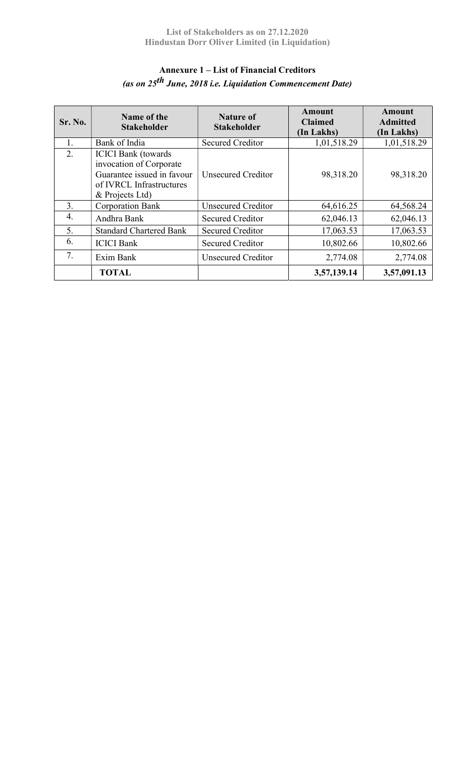## Annexure 1 – List of Financial Creditors (as on 25<sup>th</sup> June, 2018 i.e. Liquidation Commencement Date)

| Sr. No. | Name of the<br><b>Stakeholder</b>                                                                                                  | Nature of<br><b>Stakeholder</b> | <b>Amount</b><br><b>Claimed</b><br>(In Lakhs) | <b>Amount</b><br><b>Admitted</b><br>(In Lakhs) |
|---------|------------------------------------------------------------------------------------------------------------------------------------|---------------------------------|-----------------------------------------------|------------------------------------------------|
| 1.      | Bank of India                                                                                                                      | <b>Secured Creditor</b>         | 1,01,518.29                                   | 1,01,518.29                                    |
| 2.      | <b>ICICI Bank</b> (towards<br>invocation of Corporate<br>Guarantee issued in favour<br>of IVRCL Infrastructures<br>& Projects Ltd) | <b>Unsecured Creditor</b>       | 98,318.20                                     | 98,318.20                                      |
| 3.      | <b>Corporation Bank</b>                                                                                                            | <b>Unsecured Creditor</b>       | 64,616.25                                     | 64,568.24                                      |
| 4.      | Andhra Bank                                                                                                                        | <b>Secured Creditor</b>         | 62,046.13                                     | 62,046.13                                      |
| 5.      | <b>Standard Chartered Bank</b>                                                                                                     | Secured Creditor                | 17,063.53                                     | 17,063.53                                      |
| 6.      | <b>ICICI</b> Bank                                                                                                                  | <b>Secured Creditor</b>         | 10,802.66                                     | 10,802.66                                      |
| 7.      | Exim Bank                                                                                                                          | <b>Unsecured Creditor</b>       | 2,774.08                                      | 2,774.08                                       |
|         | <b>TOTAL</b>                                                                                                                       |                                 | 3,57,139.14                                   | 3,57,091.13                                    |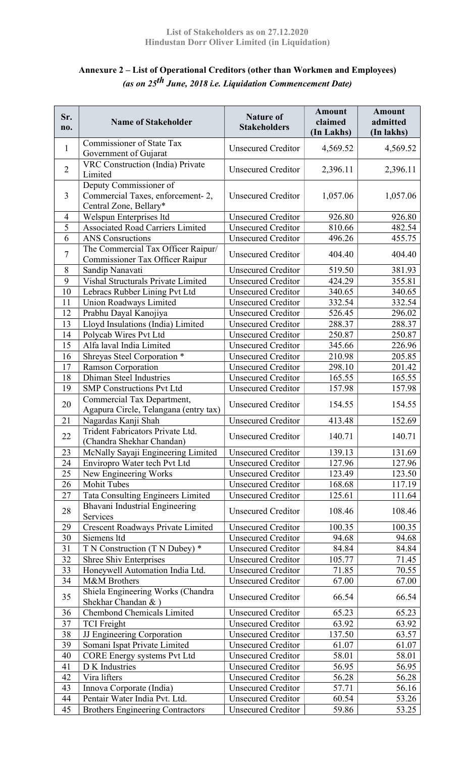# Annexure 2 – List of Operational Creditors (other than Workmen and Employees) (as on  $25^{th}$  June, 2018 i.e. Liquidation Commencement Date)

| Sr.<br>no.     | <b>Name of Stakeholder</b>                                                           | <b>Nature of</b><br><b>Stakeholders</b> | <b>Amount</b><br>claimed<br>(In Lakhs) | <b>Amount</b><br>admitted<br>(In lakhs) |
|----------------|--------------------------------------------------------------------------------------|-----------------------------------------|----------------------------------------|-----------------------------------------|
| $\mathbf{1}$   | <b>Commissioner of State Tax</b><br>Government of Gujarat                            | <b>Unsecured Creditor</b>               | 4,569.52                               | 4,569.52                                |
| $\overline{2}$ | VRC Construction (India) Private<br>Limited                                          | <b>Unsecured Creditor</b>               | 2,396.11                               | 2,396.11                                |
| 3              | Deputy Commissioner of<br>Commercial Taxes, enforcement-2,<br>Central Zone, Bellary* | <b>Unsecured Creditor</b>               | 1,057.06                               | 1,057.06                                |
| 4              | Welspun Enterprises ltd                                                              | <b>Unsecured Creditor</b>               | 926.80                                 | 926.80                                  |
| 5              | <b>Associated Road Carriers Limited</b>                                              | <b>Unsecured Creditor</b>               | 810.66                                 | 482.54                                  |
| 6              | <b>ANS</b> Consructions                                                              | <b>Unsecured Creditor</b>               | 496.26                                 | 455.75                                  |
| $\tau$         | The Commercial Tax Officer Raipur/<br>Commissioner Tax Officer Raipur                | <b>Unsecured Creditor</b>               | 404.40                                 | 404.40                                  |
| 8              | Sandip Nanavati                                                                      | <b>Unsecured Creditor</b>               | 519.50                                 | 381.93                                  |
| 9              | Vishal Structurals Private Limited                                                   | <b>Unsecured Creditor</b>               | 424.29                                 | 355.81                                  |
| 10             | Lebracs Rubber Lining Pvt Ltd                                                        | <b>Unsecured Creditor</b>               | 340.65                                 | 340.65                                  |
| 11             | Union Roadways Limited                                                               | <b>Unsecured Creditor</b>               | 332.54                                 | 332.54                                  |
| 12             | Prabhu Dayal Kanojiya                                                                | <b>Unsecured Creditor</b>               | 526.45                                 | 296.02                                  |
| 13             | Lloyd Insulations (India) Limited                                                    | <b>Unsecured Creditor</b>               | 288.37                                 | 288.37                                  |
| 14             | Polycab Wires Pvt Ltd                                                                | <b>Unsecured Creditor</b>               | 250.87                                 | 250.87                                  |
| 15             | Alfa laval India Limited                                                             | <b>Unsecured Creditor</b>               | 345.66                                 | 226.96                                  |
| 16             | Shreyas Steel Corporation *                                                          | <b>Unsecured Creditor</b>               | 210.98                                 | 205.85                                  |
| 17             | Ramson Corporation<br><b>Dhiman Steel Industries</b>                                 | <b>Unsecured Creditor</b>               | 298.10                                 | 201.42                                  |
| 18<br>19       |                                                                                      | <b>Unsecured Creditor</b>               | 165.55                                 | 165.55                                  |
|                | <b>SMP Constructions Pvt Ltd</b>                                                     | <b>Unsecured Creditor</b>               | 157.98                                 | 157.98                                  |
| 20             | Commercial Tax Department,<br>Agapura Circle, Telangana (entry tax)                  | <b>Unsecured Creditor</b>               | 154.55                                 | 154.55                                  |
| 21             | Nagardas Kanji Shah                                                                  | <b>Unsecured Creditor</b>               | 413.48                                 | 152.69                                  |
| 22             | Trident Fabricators Private Ltd.<br>(Chandra Shekhar Chandan)                        | <b>Unsecured Creditor</b>               | 140.71                                 | 140.71                                  |
| 23             | McNally Sayaji Engineering Limited                                                   | <b>Unsecured Creditor</b>               | 139.13                                 | 131.69                                  |
| 24             | Enviropro Water tech Pvt Ltd                                                         | <b>Unsecured Creditor</b>               | 127.96                                 | 127.96                                  |
| 25             | New Engineering Works                                                                | <b>Unsecured Creditor</b>               | 123.49                                 | 123.50                                  |
| 26             | <b>Mohit Tubes</b>                                                                   | <b>Unsecured Creditor</b>               | 168.68                                 | 117.19                                  |
| 27             | <b>Tata Consulting Engineers Limited</b>                                             | <b>Unsecured Creditor</b>               | 125.61                                 | 111.64                                  |
| 28             | Bhavani Industrial Engineering<br>Services                                           | <b>Unsecured Creditor</b>               | 108.46                                 | 108.46                                  |
| 29             | Crescent Roadways Private Limited                                                    | <b>Unsecured Creditor</b>               | 100.35                                 | 100.35                                  |
| 30             | Siemens ltd                                                                          | <b>Unsecured Creditor</b>               | 94.68                                  | 94.68                                   |
| 31             | T N Construction (T N Dubey) *                                                       | <b>Unsecured Creditor</b>               | 84.84                                  | 84.84                                   |
| 32             | <b>Shree Shiv Enterprises</b>                                                        | <b>Unsecured Creditor</b>               | 105.77                                 | 71.45                                   |
| 33             | Honeywell Automation India Ltd.                                                      | <b>Unsecured Creditor</b>               | 71.85                                  | 70.55                                   |
| 34             | M&M Brothers                                                                         | <b>Unsecured Creditor</b>               | 67.00                                  | 67.00                                   |
| 35             | Shiela Engineering Works (Chandra<br>Shekhar Chandan & )                             | <b>Unsecured Creditor</b>               | 66.54                                  | 66.54                                   |
| 36             | <b>Chembond Chemicals Limited</b>                                                    | <b>Unsecured Creditor</b>               | 65.23                                  | 65.23                                   |
| 37             | <b>TCI</b> Freight                                                                   | <b>Unsecured Creditor</b>               | 63.92                                  | 63.92                                   |
| 38             | JJ Engineering Corporation                                                           | <b>Unsecured Creditor</b>               | 137.50                                 | 63.57                                   |
| 39             | Somani Ispat Private Limited                                                         | <b>Unsecured Creditor</b>               | 61.07                                  | 61.07                                   |
| 40             | <b>CORE Energy systems Pvt Ltd</b>                                                   | <b>Unsecured Creditor</b>               | 58.01                                  | 58.01                                   |
| 41             | D K Industries                                                                       | <b>Unsecured Creditor</b>               | 56.95                                  | 56.95                                   |
| 42             | Vira lifters                                                                         | <b>Unsecured Creditor</b>               | 56.28                                  | 56.28                                   |
| 43             | Innova Corporate (India)                                                             | <b>Unsecured Creditor</b>               | 57.71                                  | 56.16                                   |
| 44             | Pentair Water India Pvt. Ltd.                                                        | <b>Unsecured Creditor</b>               | 60.54                                  | 53.26                                   |
| 45             | <b>Brothers Engineering Contractors</b>                                              | <b>Unsecured Creditor</b>               | 59.86                                  | 53.25                                   |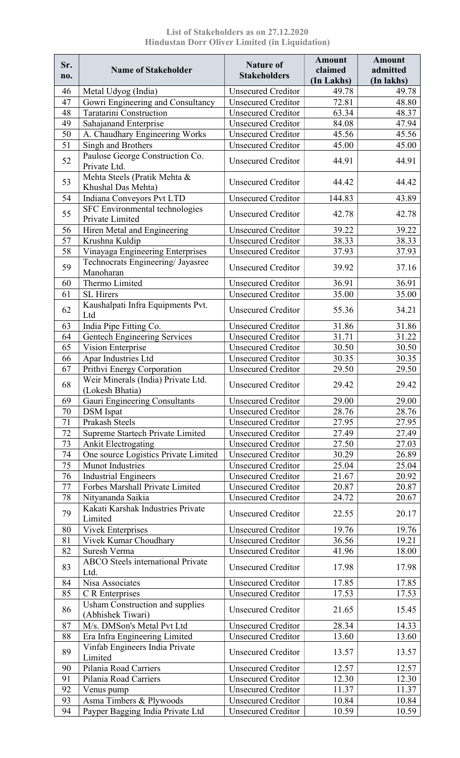List of Stakeholders as on 27.12.2020 Hindustan Dorr Oliver Limited (in Liquidation)

| Sr.<br>no. | <b>Name of Stakeholder</b>                                      | <b>Nature of</b><br><b>Stakeholders</b>                | <b>Amount</b><br>claimed<br>(In Lakhs) | <b>Amount</b><br>admitted<br>(In lakhs) |
|------------|-----------------------------------------------------------------|--------------------------------------------------------|----------------------------------------|-----------------------------------------|
| 46         | Metal Udyog (India)                                             | <b>Unsecured Creditor</b>                              | 49.78                                  | 49.78                                   |
| 47         | Gowri Engineering and Consultancy                               | <b>Unsecured Creditor</b>                              | 72.81                                  | 48.80                                   |
| 48         | <b>Taratarini Construction</b>                                  | <b>Unsecured Creditor</b>                              | 63.34                                  | 48.37                                   |
| 49         | Sahajanand Enterprise                                           | <b>Unsecured Creditor</b>                              | 84.08                                  | 47.94                                   |
| 50         | A. Chaudhary Engineering Works                                  | <b>Unsecured Creditor</b>                              | 45.56                                  | 45.56                                   |
| 51         | Singh and Brothers                                              | <b>Unsecured Creditor</b>                              | 45.00                                  | 45.00                                   |
| 52         | Paulose George Construction Co.<br>Private Ltd.                 | <b>Unsecured Creditor</b>                              | 44.91                                  | 44.91                                   |
| 53         | Mehta Steels (Pratik Mehta &<br>Khushal Das Mehta)              | <b>Unsecured Creditor</b>                              | 44.42                                  | 44.42                                   |
| 54         | Indiana Conveyors Pvt LTD                                       | <b>Unsecured Creditor</b>                              | 144.83                                 | 43.89                                   |
| 55         | SFC Environmental technologies<br>Private Limited               | <b>Unsecured Creditor</b>                              | 42.78                                  | 42.78                                   |
| 56         | <b>Hiren Metal and Engineering</b>                              | <b>Unsecured Creditor</b>                              | 39.22                                  | 39.22                                   |
| 57         | Krushna Kuldip                                                  | <b>Unsecured Creditor</b>                              | 38.33                                  | 38.33                                   |
| 58         | Vinayaga Engineering Enterprises                                | <b>Unsecured Creditor</b>                              | 37.93                                  | 37.93                                   |
| 59         | Technocrats Engineering/ Jayasree<br>Manoharan                  | <b>Unsecured Creditor</b>                              | 39.92                                  | 37.16                                   |
| 60         | Thermo Limited                                                  | <b>Unsecured Creditor</b>                              | 36.91                                  | 36.91                                   |
| 61         | <b>SL</b> Hirers                                                | <b>Unsecured Creditor</b>                              | 35.00                                  | 35.00                                   |
| 62         | Kaushalpati Infra Equipments Pvt.<br>Ltd                        | <b>Unsecured Creditor</b>                              | 55.36                                  | 34.21                                   |
| 63         | India Pipe Fitting Co.                                          | <b>Unsecured Creditor</b>                              | 31.86                                  | 31.86                                   |
| 64         | <b>Gentech Engineering Services</b>                             | <b>Unsecured Creditor</b>                              | 31.71                                  | 31.22                                   |
| 65         | Vision Enterprise                                               | <b>Unsecured Creditor</b>                              | 30.50                                  | 30.50                                   |
| 66         | Apar Industries Ltd                                             | <b>Unsecured Creditor</b>                              | 30.35                                  | 30.35                                   |
| 67         | Prithvi Energy Corporation                                      | <b>Unsecured Creditor</b>                              | 29.50                                  | 29.50                                   |
| 68         | Weir Minerals (India) Private Ltd.<br>(Lokesh Bhatia)           | <b>Unsecured Creditor</b>                              | 29.42                                  | 29.42                                   |
| 69         | Gauri Engineering Consultants                                   | <b>Unsecured Creditor</b>                              | 29.00                                  | 29.00                                   |
| 70         | <b>DSM</b> Ispat                                                | <b>Unsecured Creditor</b>                              | 28.76                                  | 28.76                                   |
| 71         | Prakash Steels                                                  | <b>Unsecured Creditor</b>                              | 27.95                                  | 27.95                                   |
| 72         | Supreme Startech Private Limited                                | <b>Unsecured Creditor</b>                              | 27.49                                  | 27.49                                   |
| 73         | <b>Ankit Electrogating</b>                                      | <b>Unsecured Creditor</b>                              | 27.50                                  | 27.03                                   |
| 74         | One source Logistics Private Limited                            | <b>Unsecured Creditor</b>                              | 30.29                                  | 26.89                                   |
| 75         | <b>Munot Industries</b>                                         | <b>Unsecured Creditor</b>                              | 25.04                                  | 25.04                                   |
| 76         | <b>Industrial Engineers</b>                                     | <b>Unsecured Creditor</b>                              | 21.67                                  | 20.92                                   |
| 77         | Forbes Marshall Private Limited                                 | <b>Unsecured Creditor</b>                              | 20.87                                  | 20.87                                   |
| 78         | Nityananda Saikia                                               | <b>Unsecured Creditor</b>                              | 24.72                                  | 20.67                                   |
| 79         | Kakati Karshak Industries Private<br>Limited                    | <b>Unsecured Creditor</b>                              | 22.55                                  | 20.17                                   |
| 80         | <b>Vivek Enterprises</b>                                        | <b>Unsecured Creditor</b>                              | 19.76                                  | 19.76                                   |
| 81         | Vivek Kumar Choudhary                                           | <b>Unsecured Creditor</b>                              | 36.56                                  | 19.21                                   |
| 82<br>83   | Suresh Verma<br><b>ABCO</b> Steels international Private        | <b>Unsecured Creditor</b><br><b>Unsecured Creditor</b> | 41.96<br>17.98                         | 18.00<br>17.98                          |
|            | Ltd.                                                            |                                                        |                                        |                                         |
| 84         | Nisa Associates                                                 | <b>Unsecured Creditor</b>                              | 17.85                                  | 17.85                                   |
| 85         | C R Enterprises                                                 | <b>Unsecured Creditor</b>                              | 17.53                                  | 17.53                                   |
| 86         | <b>Usham Construction and supplies</b><br>(Abhishek Tiwari)     | <b>Unsecured Creditor</b>                              | 21.65                                  | 15.45                                   |
| 87         | M/s. DMSon's Metal Pvt Ltd                                      | <b>Unsecured Creditor</b>                              | 28.34                                  | 14.33                                   |
| 88         | Era Infra Engineering Limited<br>Vinfab Engineers India Private | <b>Unsecured Creditor</b>                              | 13.60                                  | 13.60                                   |
| 89         | Limited                                                         | <b>Unsecured Creditor</b>                              | 13.57                                  | 13.57                                   |
| 90         | Pilania Road Carriers                                           | <b>Unsecured Creditor</b>                              | 12.57                                  | 12.57                                   |
| 91         | Pilania Road Carriers                                           | <b>Unsecured Creditor</b>                              | 12.30                                  | 12.30                                   |
| 92         | Venus pump                                                      | <b>Unsecured Creditor</b>                              | 11.37                                  | 11.37                                   |
| 93         | Asma Timbers & Plywoods                                         | <b>Unsecured Creditor</b>                              | 10.84                                  | 10.84                                   |
| 94         | Payper Bagging India Private Ltd                                | <b>Unsecured Creditor</b>                              | 10.59                                  | 10.59                                   |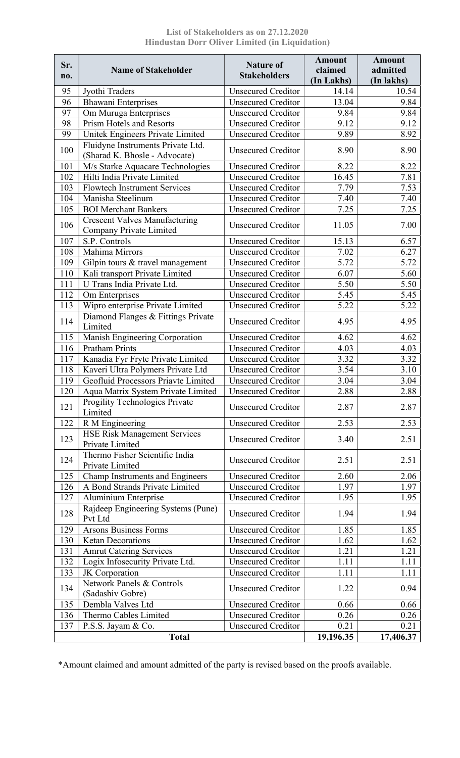| Sr.<br>no. | <b>Name of Stakeholder</b>                                         | <b>Nature of</b><br><b>Stakeholders</b> | <b>Amount</b><br>claimed<br>(In Lakhs) | <b>Amount</b><br>admitted<br>(In lakhs) |
|------------|--------------------------------------------------------------------|-----------------------------------------|----------------------------------------|-----------------------------------------|
| 95         | Jyothi Traders                                                     | <b>Unsecured Creditor</b>               | 14.14                                  | 10.54                                   |
| 96         | <b>Bhawani Enterprises</b>                                         | <b>Unsecured Creditor</b>               | 13.04                                  | 9.84                                    |
| 97         | Om Muruga Enterprises                                              | <b>Unsecured Creditor</b>               | 9.84                                   | 9.84                                    |
| 98         | <b>Prism Hotels and Resorts</b>                                    | <b>Unsecured Creditor</b>               | 9.12                                   | 9.12                                    |
| 99         | Unitek Engineers Private Limited                                   | <b>Unsecured Creditor</b>               | 9.89                                   | 8.92                                    |
| 100        | Fluidyne Instruments Private Ltd.<br>(Sharad K. Bhosle - Advocate) | <b>Unsecured Creditor</b>               | 8.90                                   | 8.90                                    |
| 101        | M/s Starke Aquacare Technologies                                   | <b>Unsecured Creditor</b>               | 8.22                                   | 8.22                                    |
| 102        | Hilti India Private Limited                                        | <b>Unsecured Creditor</b>               | 16.45                                  | 7.81                                    |
| 103        | <b>Flowtech Instrument Services</b>                                | <b>Unsecured Creditor</b>               | 7.79                                   | 7.53                                    |
| 104        | Manisha Steelinum                                                  | <b>Unsecured Creditor</b>               | 7.40                                   | 7.40                                    |
| 105        | <b>BOI Merchant Bankers</b>                                        | <b>Unsecured Creditor</b>               | 7.25                                   | 7.25                                    |
| 106        | <b>Crescent Valves Manufacturing</b><br>Company Private Limited    | <b>Unsecured Creditor</b>               | 11.05                                  | 7.00                                    |
| 107        | S.P. Controls                                                      | <b>Unsecured Creditor</b>               | 15.13                                  | 6.57                                    |
| 108        | Mahima Mirrors                                                     | <b>Unsecured Creditor</b>               | 7.02                                   | 6.27                                    |
| 109        | Gilpin tours & travel management                                   | <b>Unsecured Creditor</b>               | 5.72                                   | 5.72                                    |
| 110        | Kali transport Private Limited                                     | <b>Unsecured Creditor</b>               | 6.07                                   | 5.60                                    |
| 111        | U Trans India Private Ltd.                                         | <b>Unsecured Creditor</b>               | 5.50                                   | 5.50                                    |
| 112        | Om Enterprises                                                     | <b>Unsecured Creditor</b>               | 5.45                                   | 5.45                                    |
| 113        | Wipro enterprise Private Limited                                   | <b>Unsecured Creditor</b>               | 5.22                                   | 5.22                                    |
| 114        | Diamond Flanges & Fittings Private<br>Limited                      | <b>Unsecured Creditor</b>               | 4.95                                   | 4.95                                    |
| 115        | Manish Engineering Corporation                                     | <b>Unsecured Creditor</b>               | 4.62                                   | 4.62                                    |
| 116        | <b>Pratham Prints</b>                                              | <b>Unsecured Creditor</b>               | 4.03                                   | 4.03                                    |
| 117        | Kanadia Fyr Fryte Private Limited                                  | <b>Unsecured Creditor</b>               | 3.32                                   | 3.32                                    |
| 118        | Kaveri Ultra Polymers Private Ltd                                  | <b>Unsecured Creditor</b>               | 3.54                                   | 3.10                                    |
| 119        | Geofluid Processors Priavte Limited                                | <b>Unsecured Creditor</b>               | 3.04                                   | 3.04                                    |
| 120        | Aqua Matrix System Private Limited                                 | <b>Unsecured Creditor</b>               | 2.88                                   | 2.88                                    |
| 121        | Progility Technologies Private<br>Limited                          | <b>Unsecured Creditor</b>               | 2.87                                   | 2.87                                    |
| 122        | R M Engineering                                                    | <b>Unsecured Creditor</b>               | 2.53                                   | 2.53                                    |
| 123        | <b>HSE Risk Management Services</b><br>Private Limited             | <b>Unsecured Creditor</b>               | 3.40                                   | 2.51                                    |
| 124        | Thermo Fisher Scientific India<br>Private Limited                  | <b>Unsecured Creditor</b>               | 2.51                                   | 2.51                                    |
| 125        | Champ Instruments and Engineers                                    | <b>Unsecured Creditor</b>               | 2.60                                   | 2.06                                    |
| 126        | A Bond Strands Private Limited                                     | <b>Unsecured Creditor</b>               | 1.97                                   | 1.97                                    |
| 127        | Aluminium Enterprise                                               | <b>Unsecured Creditor</b>               | 1.95                                   | 1.95                                    |
| 128        | Rajdeep Engineering Systems (Pune)<br>Pvt Ltd                      | <b>Unsecured Creditor</b>               | 1.94                                   | 1.94                                    |
| 129        | Arsons Business Forms                                              | <b>Unsecured Creditor</b>               | 1.85                                   | 1.85                                    |
| 130        | Ketan Decorations                                                  | <b>Unsecured Creditor</b>               | 1.62                                   | 1.62                                    |
| 131        | <b>Amrut Catering Services</b>                                     | <b>Unsecured Creditor</b>               | 1.21                                   | 1.21                                    |
| 132        | Logix Infosecurity Private Ltd.                                    | <b>Unsecured Creditor</b>               | 1.11                                   | 1.11                                    |
| 133        | JK Corporation                                                     | <b>Unsecured Creditor</b>               | 1.11                                   | 1.11                                    |
| 134        | Network Panels & Controls<br>(Sadashiv Gobre)                      | <b>Unsecured Creditor</b>               | 1.22                                   | 0.94                                    |
| 135        | Dembla Valves Ltd                                                  | <b>Unsecured Creditor</b>               | 0.66                                   | 0.66                                    |
| 136        | Thermo Cables Limited                                              | <b>Unsecured Creditor</b>               | 0.26                                   | 0.26                                    |
| 137        | P.S.S. Jayam & Co.                                                 | <b>Unsecured Creditor</b>               | 0.21                                   | 0.21                                    |
|            | <b>Total</b>                                                       |                                         | 19,196.35                              | 17,406.37                               |

List of Stakeholders as on 27.12.2020 Hindustan Dorr Oliver Limited (in Liquidation)

\*Amount claimed and amount admitted of the party is revised based on the proofs available.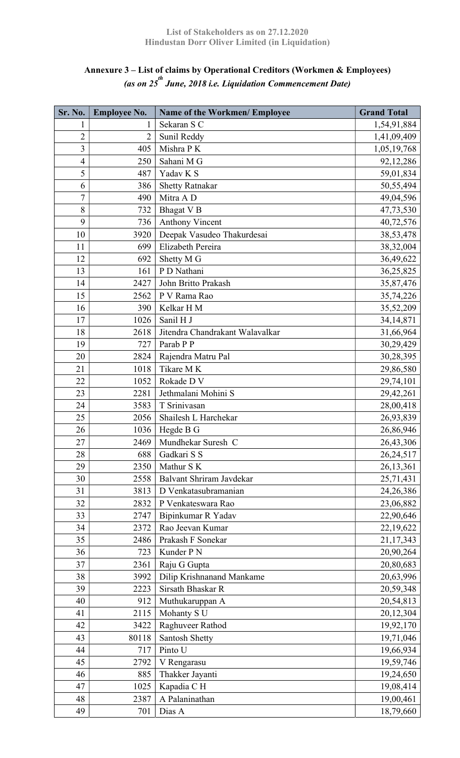### Annexure 3 – List of claims by Operational Creditors (Workmen & Employees) (as on 25<sup>th</sup> June, 2018 i.e. Liquidation Commencement Date)

| Sr. No.        | <b>Employee No.</b> | <b>Name of the Workmen/ Employee</b> | <b>Grand Total</b> |
|----------------|---------------------|--------------------------------------|--------------------|
| $\mathbf{1}$   | 1                   | Sekaran S C                          | 1,54,91,884        |
| $\overline{2}$ | 2                   | Sunil Reddy                          | 1,41,09,409        |
| 3              | 405                 | Mishra PK                            | 1,05,19,768        |
| $\overline{4}$ | 250                 | Sahani M G                           | 92,12,286          |
| 5              | 487                 | Yadav K S                            | 59,01,834          |
| 6              | 386                 | <b>Shetty Ratnakar</b>               | 50,55,494          |
| 7              | 490                 | Mitra A D                            | 49,04,596          |
| 8              | 732                 | <b>Bhagat V B</b>                    | 47,73,530          |
| 9              | 736                 | <b>Anthony Vincent</b>               | 40,72,576          |
| 10             | 3920                | Deepak Vasudeo Thakurdesai           | 38,53,478          |
| 11             | 699                 | Elizabeth Pereira                    | 38,32,004          |
| 12             | 692                 | Shetty M G                           | 36,49,622          |
| 13             | 161                 | P D Nathani                          | 36,25,825          |
| 14             | 2427                | John Britto Prakash                  | 35,87,476          |
| 15             | 2562                | P V Rama Rao                         | 35,74,226          |
| 16             | 390                 | Kelkar H M                           | 35,52,209          |
| 17             | 1026                | Sanil H J                            | 34, 14, 871        |
| 18             | 2618                | Jitendra Chandrakant Walavalkar      | 31,66,964          |
| 19             | 727                 | Parab P P                            | 30,29,429          |
| 20             | 2824                | Rajendra Matru Pal                   | 30,28,395          |
| 21             | 1018                | Tikare M K                           | 29,86,580          |
| 22             | 1052                | Rokade D V                           | 29,74,101          |
| 23             | 2281                | Jethmalani Mohini S                  | 29,42,261          |
| 24             | 3583                | T Srinivasan                         | 28,00,418          |
| 25             | 2056                | Shailesh L Harchekar                 | 26,93,839          |
| 26             | 1036                | Hegde B G                            | 26,86,946          |
| 27             | 2469                | Mundhekar Suresh C                   | 26,43,306          |
| 28             | 688                 | Gadkari S S                          | 26,24,517          |
| 29             | 2350                | Mathur S K                           | 26,13,361          |
| 30             | 2558                | Balvant Shriram Javdekar             | 25,71,431          |
| 31             | 3813                | D Venkatasubramanian                 | 24,26,386          |
| 32             | 2832                | P Venkateswara Rao                   | 23,06,882          |
| 33             | 2747                | Bipinkumar R Yadav                   | 22,90,646          |
| 34             | 2372                | Rao Jeevan Kumar                     | 22,19,622          |
| 35             | 2486                | Prakash F Sonekar                    | 21,17,343          |
| 36             | 723                 | Kunder P N                           | 20,90,264          |
| 37             | 2361                | Raju G Gupta                         | 20,80,683          |
| 38             | 3992                | Dilip Krishnanand Mankame            | 20,63,996          |
| 39             | 2223                | Sirsath Bhaskar R                    | 20,59,348          |
| 40             | 912                 | Muthukaruppan A                      | 20,54,813          |
| 41             | 2115                | Mohanty S U                          | 20,12,304          |
| 42             | 3422                | Raghuveer Rathod                     | 19,92,170          |
| 43             | 80118               | Santosh Shetty                       | 19,71,046          |
| 44             | 717                 | Pinto U                              | 19,66,934          |
| 45             | 2792                | V Rengarasu                          | 19,59,746          |
| 46             | 885                 | Thakker Jayanti                      | 19,24,650          |
| 47             | 1025                | Kapadia CH                           | 19,08,414          |
| 48             | 2387                | A Palaninathan                       | 19,00,461          |
| 49             | 701                 | Dias A                               | 18,79,660          |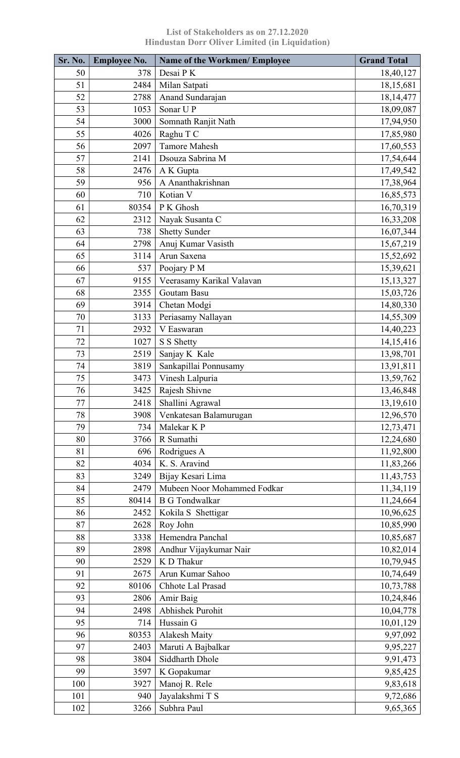| Desai PK<br>50<br>18,40,127<br>378<br>51<br>2484<br>Milan Satpati<br>18,15,681<br>52<br>Anand Sundarajan<br>2788<br>18, 14, 477<br>Sonar UP<br>53<br>1053<br>18,09,087<br>54<br>3000<br>Somnath Ranjit Nath<br>17,94,950<br>55<br>Raghu T C<br>4026<br>17,85,980<br>56<br><b>Tamore Mahesh</b><br>2097<br>17,60,553<br>57<br>Dsouza Sabrina M<br>17,54,644<br>2141<br>58<br>2476<br>A K Gupta<br>17,49,542<br>A Ananthakrishnan<br>59<br>17,38,964<br>956<br>Kotian V<br>60<br>710<br>16,85,573<br>61<br>80354<br>P K Ghosh<br>16,70,319<br>62<br>Nayak Susanta C<br>2312<br>16,33,208<br>63<br><b>Shetty Sunder</b><br>738<br>16,07,344<br>Anuj Kumar Vasisth<br>64<br>2798<br>15,67,219<br>65<br>3114<br>Arun Saxena<br>15,52,692<br>66<br>537<br>Poojary P M<br>15,39,621<br>67<br>9155<br>Veerasamy Karikal Valavan<br>15, 13, 327<br>68<br>2355<br>Goutam Basu<br>15,03,726<br>69<br>Chetan Modgi<br>3914<br>14,80,330<br>70<br>3133<br>Periasamy Nallayan<br>14,55,309<br>71<br>2932<br>V Easwaran<br>14,40,223<br>72<br>1027<br>S S Shetty<br>14, 15, 416<br>73<br>2519<br>Sanjay K Kale<br>13,98,701<br>74<br>3819<br>Sankapillai Ponnusamy<br>13,91,811<br>75<br>Vinesh Lalpuria<br>3473<br>13,59,762<br>76<br>3425<br>Rajesh Shivne<br>13,46,848<br>77<br>2418<br>Shallini Agrawal<br>13,19,610<br>78<br>3908<br>Venkatesan Balamurugan<br>12,96,570<br>Malekar K P<br>79<br>734<br>12,73,471<br>R Sumathi<br>80<br>12,24,680<br>3766<br>Rodrigues A<br>81<br>11,92,800<br>696<br>K. S. Aravind<br>82<br>4034<br>11,83,266<br>83<br>Bijay Kesari Lima<br>11,43,753<br>3249 |
|--------------------------------------------------------------------------------------------------------------------------------------------------------------------------------------------------------------------------------------------------------------------------------------------------------------------------------------------------------------------------------------------------------------------------------------------------------------------------------------------------------------------------------------------------------------------------------------------------------------------------------------------------------------------------------------------------------------------------------------------------------------------------------------------------------------------------------------------------------------------------------------------------------------------------------------------------------------------------------------------------------------------------------------------------------------------------------------------------------------------------------------------------------------------------------------------------------------------------------------------------------------------------------------------------------------------------------------------------------------------------------------------------------------------------------------------------------------------------------------------------------------------------------------------------------------------------------------|
|                                                                                                                                                                                                                                                                                                                                                                                                                                                                                                                                                                                                                                                                                                                                                                                                                                                                                                                                                                                                                                                                                                                                                                                                                                                                                                                                                                                                                                                                                                                                                                                      |
|                                                                                                                                                                                                                                                                                                                                                                                                                                                                                                                                                                                                                                                                                                                                                                                                                                                                                                                                                                                                                                                                                                                                                                                                                                                                                                                                                                                                                                                                                                                                                                                      |
|                                                                                                                                                                                                                                                                                                                                                                                                                                                                                                                                                                                                                                                                                                                                                                                                                                                                                                                                                                                                                                                                                                                                                                                                                                                                                                                                                                                                                                                                                                                                                                                      |
|                                                                                                                                                                                                                                                                                                                                                                                                                                                                                                                                                                                                                                                                                                                                                                                                                                                                                                                                                                                                                                                                                                                                                                                                                                                                                                                                                                                                                                                                                                                                                                                      |
|                                                                                                                                                                                                                                                                                                                                                                                                                                                                                                                                                                                                                                                                                                                                                                                                                                                                                                                                                                                                                                                                                                                                                                                                                                                                                                                                                                                                                                                                                                                                                                                      |
|                                                                                                                                                                                                                                                                                                                                                                                                                                                                                                                                                                                                                                                                                                                                                                                                                                                                                                                                                                                                                                                                                                                                                                                                                                                                                                                                                                                                                                                                                                                                                                                      |
|                                                                                                                                                                                                                                                                                                                                                                                                                                                                                                                                                                                                                                                                                                                                                                                                                                                                                                                                                                                                                                                                                                                                                                                                                                                                                                                                                                                                                                                                                                                                                                                      |
|                                                                                                                                                                                                                                                                                                                                                                                                                                                                                                                                                                                                                                                                                                                                                                                                                                                                                                                                                                                                                                                                                                                                                                                                                                                                                                                                                                                                                                                                                                                                                                                      |
|                                                                                                                                                                                                                                                                                                                                                                                                                                                                                                                                                                                                                                                                                                                                                                                                                                                                                                                                                                                                                                                                                                                                                                                                                                                                                                                                                                                                                                                                                                                                                                                      |
|                                                                                                                                                                                                                                                                                                                                                                                                                                                                                                                                                                                                                                                                                                                                                                                                                                                                                                                                                                                                                                                                                                                                                                                                                                                                                                                                                                                                                                                                                                                                                                                      |
|                                                                                                                                                                                                                                                                                                                                                                                                                                                                                                                                                                                                                                                                                                                                                                                                                                                                                                                                                                                                                                                                                                                                                                                                                                                                                                                                                                                                                                                                                                                                                                                      |
|                                                                                                                                                                                                                                                                                                                                                                                                                                                                                                                                                                                                                                                                                                                                                                                                                                                                                                                                                                                                                                                                                                                                                                                                                                                                                                                                                                                                                                                                                                                                                                                      |
|                                                                                                                                                                                                                                                                                                                                                                                                                                                                                                                                                                                                                                                                                                                                                                                                                                                                                                                                                                                                                                                                                                                                                                                                                                                                                                                                                                                                                                                                                                                                                                                      |
|                                                                                                                                                                                                                                                                                                                                                                                                                                                                                                                                                                                                                                                                                                                                                                                                                                                                                                                                                                                                                                                                                                                                                                                                                                                                                                                                                                                                                                                                                                                                                                                      |
|                                                                                                                                                                                                                                                                                                                                                                                                                                                                                                                                                                                                                                                                                                                                                                                                                                                                                                                                                                                                                                                                                                                                                                                                                                                                                                                                                                                                                                                                                                                                                                                      |
|                                                                                                                                                                                                                                                                                                                                                                                                                                                                                                                                                                                                                                                                                                                                                                                                                                                                                                                                                                                                                                                                                                                                                                                                                                                                                                                                                                                                                                                                                                                                                                                      |
|                                                                                                                                                                                                                                                                                                                                                                                                                                                                                                                                                                                                                                                                                                                                                                                                                                                                                                                                                                                                                                                                                                                                                                                                                                                                                                                                                                                                                                                                                                                                                                                      |
|                                                                                                                                                                                                                                                                                                                                                                                                                                                                                                                                                                                                                                                                                                                                                                                                                                                                                                                                                                                                                                                                                                                                                                                                                                                                                                                                                                                                                                                                                                                                                                                      |
|                                                                                                                                                                                                                                                                                                                                                                                                                                                                                                                                                                                                                                                                                                                                                                                                                                                                                                                                                                                                                                                                                                                                                                                                                                                                                                                                                                                                                                                                                                                                                                                      |
|                                                                                                                                                                                                                                                                                                                                                                                                                                                                                                                                                                                                                                                                                                                                                                                                                                                                                                                                                                                                                                                                                                                                                                                                                                                                                                                                                                                                                                                                                                                                                                                      |
|                                                                                                                                                                                                                                                                                                                                                                                                                                                                                                                                                                                                                                                                                                                                                                                                                                                                                                                                                                                                                                                                                                                                                                                                                                                                                                                                                                                                                                                                                                                                                                                      |
|                                                                                                                                                                                                                                                                                                                                                                                                                                                                                                                                                                                                                                                                                                                                                                                                                                                                                                                                                                                                                                                                                                                                                                                                                                                                                                                                                                                                                                                                                                                                                                                      |
|                                                                                                                                                                                                                                                                                                                                                                                                                                                                                                                                                                                                                                                                                                                                                                                                                                                                                                                                                                                                                                                                                                                                                                                                                                                                                                                                                                                                                                                                                                                                                                                      |
|                                                                                                                                                                                                                                                                                                                                                                                                                                                                                                                                                                                                                                                                                                                                                                                                                                                                                                                                                                                                                                                                                                                                                                                                                                                                                                                                                                                                                                                                                                                                                                                      |
|                                                                                                                                                                                                                                                                                                                                                                                                                                                                                                                                                                                                                                                                                                                                                                                                                                                                                                                                                                                                                                                                                                                                                                                                                                                                                                                                                                                                                                                                                                                                                                                      |
|                                                                                                                                                                                                                                                                                                                                                                                                                                                                                                                                                                                                                                                                                                                                                                                                                                                                                                                                                                                                                                                                                                                                                                                                                                                                                                                                                                                                                                                                                                                                                                                      |
|                                                                                                                                                                                                                                                                                                                                                                                                                                                                                                                                                                                                                                                                                                                                                                                                                                                                                                                                                                                                                                                                                                                                                                                                                                                                                                                                                                                                                                                                                                                                                                                      |
|                                                                                                                                                                                                                                                                                                                                                                                                                                                                                                                                                                                                                                                                                                                                                                                                                                                                                                                                                                                                                                                                                                                                                                                                                                                                                                                                                                                                                                                                                                                                                                                      |
|                                                                                                                                                                                                                                                                                                                                                                                                                                                                                                                                                                                                                                                                                                                                                                                                                                                                                                                                                                                                                                                                                                                                                                                                                                                                                                                                                                                                                                                                                                                                                                                      |
|                                                                                                                                                                                                                                                                                                                                                                                                                                                                                                                                                                                                                                                                                                                                                                                                                                                                                                                                                                                                                                                                                                                                                                                                                                                                                                                                                                                                                                                                                                                                                                                      |
|                                                                                                                                                                                                                                                                                                                                                                                                                                                                                                                                                                                                                                                                                                                                                                                                                                                                                                                                                                                                                                                                                                                                                                                                                                                                                                                                                                                                                                                                                                                                                                                      |
|                                                                                                                                                                                                                                                                                                                                                                                                                                                                                                                                                                                                                                                                                                                                                                                                                                                                                                                                                                                                                                                                                                                                                                                                                                                                                                                                                                                                                                                                                                                                                                                      |
|                                                                                                                                                                                                                                                                                                                                                                                                                                                                                                                                                                                                                                                                                                                                                                                                                                                                                                                                                                                                                                                                                                                                                                                                                                                                                                                                                                                                                                                                                                                                                                                      |
|                                                                                                                                                                                                                                                                                                                                                                                                                                                                                                                                                                                                                                                                                                                                                                                                                                                                                                                                                                                                                                                                                                                                                                                                                                                                                                                                                                                                                                                                                                                                                                                      |
| Mubeen Noor Mohammed Fodkar<br>84<br>2479<br>11,34,119                                                                                                                                                                                                                                                                                                                                                                                                                                                                                                                                                                                                                                                                                                                                                                                                                                                                                                                                                                                                                                                                                                                                                                                                                                                                                                                                                                                                                                                                                                                               |
| 85<br>80414<br><b>B</b> G Tondwalkar<br>11,24,664                                                                                                                                                                                                                                                                                                                                                                                                                                                                                                                                                                                                                                                                                                                                                                                                                                                                                                                                                                                                                                                                                                                                                                                                                                                                                                                                                                                                                                                                                                                                    |
| 86<br>Kokila S Shettigar<br>10,96,625<br>2452                                                                                                                                                                                                                                                                                                                                                                                                                                                                                                                                                                                                                                                                                                                                                                                                                                                                                                                                                                                                                                                                                                                                                                                                                                                                                                                                                                                                                                                                                                                                        |
| 87<br>2628<br>Roy John<br>10,85,990                                                                                                                                                                                                                                                                                                                                                                                                                                                                                                                                                                                                                                                                                                                                                                                                                                                                                                                                                                                                                                                                                                                                                                                                                                                                                                                                                                                                                                                                                                                                                  |
| Hemendra Panchal<br>88<br>10,85,687<br>3338                                                                                                                                                                                                                                                                                                                                                                                                                                                                                                                                                                                                                                                                                                                                                                                                                                                                                                                                                                                                                                                                                                                                                                                                                                                                                                                                                                                                                                                                                                                                          |
| Andhur Vijaykumar Nair<br>10,82,014<br>89<br>2898                                                                                                                                                                                                                                                                                                                                                                                                                                                                                                                                                                                                                                                                                                                                                                                                                                                                                                                                                                                                                                                                                                                                                                                                                                                                                                                                                                                                                                                                                                                                    |
| 90<br>K D Thakur<br>10,79,945<br>2529                                                                                                                                                                                                                                                                                                                                                                                                                                                                                                                                                                                                                                                                                                                                                                                                                                                                                                                                                                                                                                                                                                                                                                                                                                                                                                                                                                                                                                                                                                                                                |
| 91<br>2675<br>Arun Kumar Sahoo<br>10,74,649                                                                                                                                                                                                                                                                                                                                                                                                                                                                                                                                                                                                                                                                                                                                                                                                                                                                                                                                                                                                                                                                                                                                                                                                                                                                                                                                                                                                                                                                                                                                          |
| 92<br>Chhote Lal Prasad<br>10,73,788<br>80106                                                                                                                                                                                                                                                                                                                                                                                                                                                                                                                                                                                                                                                                                                                                                                                                                                                                                                                                                                                                                                                                                                                                                                                                                                                                                                                                                                                                                                                                                                                                        |
| 93<br>Amir Baig<br>2806<br>10,24,846                                                                                                                                                                                                                                                                                                                                                                                                                                                                                                                                                                                                                                                                                                                                                                                                                                                                                                                                                                                                                                                                                                                                                                                                                                                                                                                                                                                                                                                                                                                                                 |
| Abhishek Purohit<br>94<br>10,04,778<br>2498                                                                                                                                                                                                                                                                                                                                                                                                                                                                                                                                                                                                                                                                                                                                                                                                                                                                                                                                                                                                                                                                                                                                                                                                                                                                                                                                                                                                                                                                                                                                          |
| Hussain G<br>95<br>714<br>10,01,129                                                                                                                                                                                                                                                                                                                                                                                                                                                                                                                                                                                                                                                                                                                                                                                                                                                                                                                                                                                                                                                                                                                                                                                                                                                                                                                                                                                                                                                                                                                                                  |
| 96<br><b>Alakesh Maity</b><br>80353<br>9,97,092                                                                                                                                                                                                                                                                                                                                                                                                                                                                                                                                                                                                                                                                                                                                                                                                                                                                                                                                                                                                                                                                                                                                                                                                                                                                                                                                                                                                                                                                                                                                      |
| 97<br>Maruti A Bajbalkar<br>2403<br>9,95,227                                                                                                                                                                                                                                                                                                                                                                                                                                                                                                                                                                                                                                                                                                                                                                                                                                                                                                                                                                                                                                                                                                                                                                                                                                                                                                                                                                                                                                                                                                                                         |
| 98<br>3804<br>Siddharth Dhole<br>9,91,473                                                                                                                                                                                                                                                                                                                                                                                                                                                                                                                                                                                                                                                                                                                                                                                                                                                                                                                                                                                                                                                                                                                                                                                                                                                                                                                                                                                                                                                                                                                                            |
| 99<br>K Gopakumar<br>3597<br>9,85,425                                                                                                                                                                                                                                                                                                                                                                                                                                                                                                                                                                                                                                                                                                                                                                                                                                                                                                                                                                                                                                                                                                                                                                                                                                                                                                                                                                                                                                                                                                                                                |
| Manoj R. Rele<br>100<br>9,83,618<br>3927                                                                                                                                                                                                                                                                                                                                                                                                                                                                                                                                                                                                                                                                                                                                                                                                                                                                                                                                                                                                                                                                                                                                                                                                                                                                                                                                                                                                                                                                                                                                             |
| 101<br>940<br>Jayalakshmi T S<br>9,72,686                                                                                                                                                                                                                                                                                                                                                                                                                                                                                                                                                                                                                                                                                                                                                                                                                                                                                                                                                                                                                                                                                                                                                                                                                                                                                                                                                                                                                                                                                                                                            |
| 102<br>Subhra Paul<br>9,65,365<br>3266                                                                                                                                                                                                                                                                                                                                                                                                                                                                                                                                                                                                                                                                                                                                                                                                                                                                                                                                                                                                                                                                                                                                                                                                                                                                                                                                                                                                                                                                                                                                               |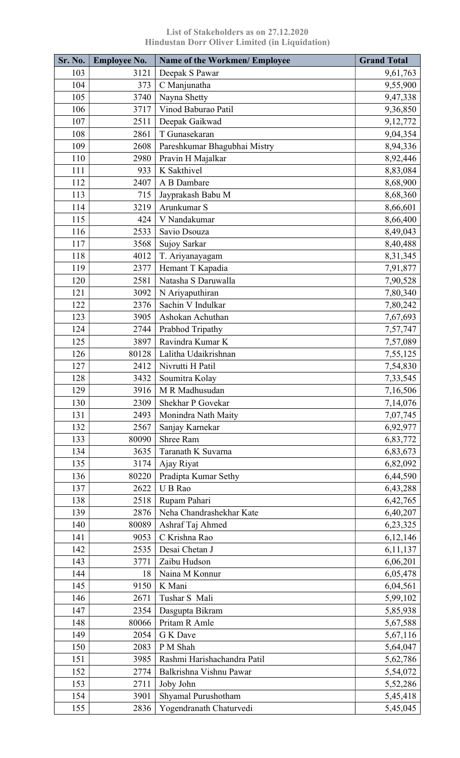| Sr. No. | <b>Employee No.</b> | <b>Name of the Workmen/ Employee</b> | <b>Grand Total</b>   |
|---------|---------------------|--------------------------------------|----------------------|
| 103     | 3121                | Deepak S Pawar                       | 9,61,763             |
| 104     | 373                 | C Manjunatha                         | 9,55,900             |
| 105     | 3740                | Nayna Shetty                         | 9,47,338             |
| 106     | 3717                | Vinod Baburao Patil                  | 9,36,850             |
| 107     | 2511                | Deepak Gaikwad                       | 9,12,772             |
| 108     | 2861                | T Gunasekaran                        | 9,04,354             |
| 109     | 2608                | Pareshkumar Bhagubhai Mistry         | 8,94,336             |
| 110     | 2980                | Pravin H Majalkar                    | 8,92,446             |
| 111     | 933                 | K Sakthivel                          | 8,83,084             |
| 112     | 2407                | A B Dambare                          | 8,68,900             |
| 113     | 715                 | Jayprakash Babu M                    | 8,68,360             |
| 114     | 3219                | Arunkumar S                          | 8,66,601             |
| 115     | 424                 | V Nandakumar                         | 8,66,400             |
| 116     | 2533                | Savio Dsouza                         | 8,49,043             |
| 117     | 3568                | Sujoy Sarkar                         | 8,40,488             |
| 118     | 4012                | T. Ariyanayagam                      | 8,31,345             |
| 119     | 2377                | Hemant T Kapadia                     | 7,91,877             |
| 120     | 2581                | Natasha S Daruwalla                  | 7,90,528             |
| 121     | 3092                | N Ariyaputhiran                      | 7,80,340             |
| 122     | 2376                | Sachin V Indulkar                    | 7,80,242             |
| 123     | 3905                | Ashokan Achuthan                     | 7,67,693             |
| 124     | 2744                | Prabhod Tripathy                     | 7,57,747             |
| 125     | 3897                | Ravindra Kumar K                     | 7,57,089             |
| 126     | 80128               | Lalitha Udaikrishnan                 | 7,55,125             |
| 127     | 2412                | Nivrutti H Patil                     | 7,54,830             |
| 128     | 3432                | Soumitra Kolay                       | 7,33,545             |
| 129     | 3916                | M R Madhusudan                       | 7,16,506             |
| 130     | 2309                | Shekhar P Govekar                    | 7,14,076             |
| 131     | 2493                | Monindra Nath Maity                  | 7,07,745             |
| 132     | 2567                | Sanjay Karnekar                      | 6,92,977             |
| 133     | 80090               | Shree Ram                            | 6,83,772             |
| 134     | 3635                | Taranath K Suvarna                   | 6,83,673             |
| 135     | 3174                | Ajay Riyat                           | 6,82,092             |
| 136     | 80220               | Pradipta Kumar Sethy                 | 6,44,590             |
| 137     | 2622                | U B Rao                              | 6,43,288             |
| 138     | 2518                | Rupam Pahari                         | 6,42,765             |
| 139     | 2876                | Neha Chandrashekhar Kate             | 6,40,207             |
| 140     | 80089               | Ashraf Taj Ahmed                     | 6,23,325             |
| 141     | 9053                | C Krishna Rao                        | 6,12,146             |
| 142     | 2535                | Desai Chetan J                       | 6,11,137             |
| 143     | 3771                | Zaibu Hudson                         | 6,06,201             |
| 144     | 18                  | Naina M Konnur                       | 6,05,478             |
| 145     | 9150                | K Mani                               | 6,04,561             |
| 146     | 2671                | Tushar S Mali                        | 5,99,102             |
| 147     | 2354                |                                      |                      |
| 148     | 80066               | Dasgupta Bikram<br>Pritam R Amle     | 5,85,938<br>5,67,588 |
| 149     | 2054                | G K Dave                             | 5,67,116             |
| 150     | 2083                | P M Shah                             |                      |
| 151     | 3985                | Rashmi Harishachandra Patil          | 5,64,047             |
| 152     | 2774                | Balkrishna Vishnu Pawar              | 5,62,786             |
| 153     |                     |                                      | 5,54,072             |
| 154     | 2711<br>3901        | Joby John<br>Shyamal Purushotham     | 5,52,286             |
| 155     | 2836                |                                      | 5,45,418             |
|         |                     | Yogendranath Chaturvedi              | 5,45,045             |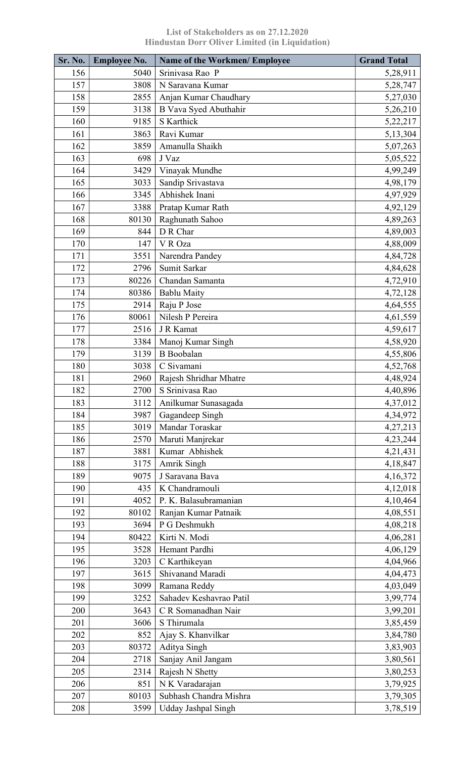| <b>Sr. No.</b> | <b>Employee No.</b> | <b>Name of the Workmen/ Employee</b> | <b>Grand Total</b> |
|----------------|---------------------|--------------------------------------|--------------------|
| 156            | 5040                | Srinivasa Rao P                      | 5,28,911           |
| 157            | 3808                | N Saravana Kumar                     | 5,28,747           |
| 158            | 2855                | Anjan Kumar Chaudhary                | 5,27,030           |
| 159            | 3138                | B Vava Syed Abuthahir                | 5,26,210           |
| 160            | 9185                | S Karthick                           | 5,22,217           |
| 161            | 3863                | Ravi Kumar                           | 5,13,304           |
| 162            | 3859                | Amanulla Shaikh                      | 5,07,263           |
| 163            | 698                 | J Vaz                                | 5,05,522           |
| 164            | 3429                | Vinayak Mundhe                       | 4,99,249           |
| 165            | 3033                | Sandip Srivastava                    | 4,98,179           |
| 166            | 3345                | Abhishek Inani                       | 4,97,929           |
| 167            | 3388                | Pratap Kumar Rath                    | 4,92,129           |
| 168            | 80130               | Raghunath Sahoo                      | 4,89,263           |
| 169            | 844                 | D R Char                             | 4,89,003           |
| 170            | 147                 | V R Oza                              | 4,88,009           |
| 171            | 3551                | Narendra Pandey                      | 4,84,728           |
| 172            | 2796                | Sumit Sarkar                         | 4,84,628           |
| 173            | 80226               | Chandan Samanta                      | 4,72,910           |
| 174            | 80386               | <b>Bablu Maity</b>                   | 4,72,128           |
| 175            | 2914                | Raju P Jose                          | 4,64,555           |
| 176            | 80061               | Nilesh P Pereira                     | 4,61,559           |
| 177            | 2516                | J R Kamat                            | 4,59,617           |
| 178            | 3384                | Manoj Kumar Singh                    | 4,58,920           |
| 179            | 3139                | <b>B</b> Boobalan                    | 4,55,806           |
| 180            | 3038                | C Sivamani                           | 4,52,768           |
| 181            | 2960                | Rajesh Shridhar Mhatre               | 4,48,924           |
| 182            | 2700                | S Srinivasa Rao                      | 4,40,896           |
| 183            | 3112                | Anilkumar Sunasagada                 | 4,37,012           |
| 184            | 3987                | Gagandeep Singh                      | 4,34,972           |
| 185            | 3019                | Mandar Toraskar                      | 4,27,213           |
| 186            |                     |                                      |                    |
| 187            | 2570<br>3881        | Maruti Manjrekar<br>Kumar Abhishek   | 4,23,244           |
|                |                     |                                      | 4,21,431           |
| 188            | 3175                | Amrik Singh<br>J Saravana Bava       | 4,18,847           |
| 189            | 9075                |                                      | 4,16,372           |
| 190            | 435                 | K Chandramouli                       | 4,12,018           |
| 191            | 4052                | P. K. Balasubramanian                | 4,10,464           |
| 192            | 80102               | Ranjan Kumar Patnaik                 | 4,08,551           |
| 193            | 3694                | P G Deshmukh                         | 4,08,218           |
| 194            | 80422               | Kirti N. Modi                        | 4,06,281           |
| 195            | 3528                | Hemant Pardhi                        | 4,06,129           |
| 196            | 3203                | C Karthikeyan                        | 4,04,966           |
| 197            | 3615                | Shivanand Maradi                     | 4,04,473           |
| 198            | 3099                | Ramana Reddy                         | 4,03,049           |
| 199            | 3252                | Sahadev Keshavrao Patil              | 3,99,774           |
| 200            | 3643                | C R Somanadhan Nair                  | 3,99,201           |
| 201            | 3606                | S Thirumala                          | 3,85,459           |
| 202            | 852                 | Ajay S. Khanvilkar                   | 3,84,780           |
| 203            | 80372               | Aditya Singh                         | 3,83,903           |
| 204            | 2718                | Sanjay Anil Jangam                   | 3,80,561           |
| 205            | 2314                | Rajesh N Shetty                      | 3,80,253           |
| 206            | 851                 | N K Varadarajan                      | 3,79,925           |
| 207            | 80103               | Subhash Chandra Mishra               | 3,79,305           |
| 208            | 3599                | <b>Udday Jashpal Singh</b>           | 3,78,519           |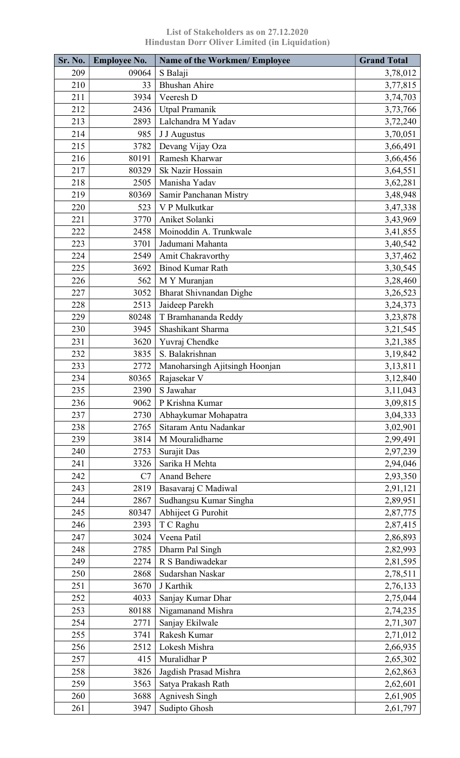| Sr. No.    | <b>Employee No.</b> | <b>Name of the Workmen/ Employee</b> | <b>Grand Total</b>   |
|------------|---------------------|--------------------------------------|----------------------|
| 209        | 09064               | S Balaji                             | 3,78,012             |
| 210        | 33                  | <b>Bhushan Ahire</b>                 | 3,77,815             |
| 211        | 3934                | Veeresh D                            | 3,74,703             |
| 212        | 2436                | Utpal Pramanik                       | 3,73,766             |
| 213        | 2893                | Lalchandra M Yadav                   | 3,72,240             |
| 214        | 985                 | J J Augustus                         | 3,70,051             |
| 215        | 3782                | Devang Vijay Oza                     | 3,66,491             |
| 216        | 80191               | Ramesh Kharwar                       | 3,66,456             |
| 217        | 80329               | Sk Nazir Hossain                     | 3,64,551             |
| 218        | 2505                | Manisha Yadav                        | 3,62,281             |
| 219        | 80369               | Samir Panchanan Mistry               | 3,48,948             |
| 220        | 523                 | V P Mulkutkar                        | 3,47,338             |
| 221        | 3770                | Aniket Solanki                       | 3,43,969             |
| 222        | 2458                | Moinoddin A. Trunkwale               | 3,41,855             |
| 223        | 3701                | Jadumani Mahanta                     | 3,40,542             |
| 224        | 2549                | Amit Chakravorthy                    | 3,37,462             |
| 225        | 3692                | <b>Binod Kumar Rath</b>              | 3,30,545             |
| 226        | 562                 | M Y Muranjan                         | 3,28,460             |
| 227        | 3052                | <b>Bharat Shivnandan Dighe</b>       | 3,26,523             |
| 228        | 2513                | Jaideep Parekh                       | 3,24,373             |
| 229        | 80248               | T Bramhananda Reddy                  | 3,23,878             |
| 230        | 3945                | Shashikant Sharma                    | 3, 21, 545           |
| 231        | 3620                | Yuvraj Chendke                       | 3,21,385             |
| 232        | 3835                | S. Balakrishnan                      | 3,19,842             |
| 233        | 2772                | Manoharsingh Ajitsingh Hoonjan       | 3,13,811             |
| 234        | 80365               | Rajasekar V                          | 3,12,840             |
| 235        | 2390                | S Jawahar                            | 3, 11, 043           |
| 236        | 9062                | P Krishna Kumar                      | 3,09,815             |
| 237        | 2730                | Abhaykumar Mohapatra                 | 3,04,333             |
| 238        | 2765                | Sitaram Antu Nadankar                | 3,02,901             |
| 239        | 3814                | M Mouralidharne                      | 2,99,491             |
| 240        | 2753                | Surajit Das                          | 2,97,239             |
| 241        | 3326                | Sarika H Mehta                       | 2,94,046             |
| 242        | C7                  | <b>Anand Behere</b>                  | 2,93,350             |
| 243        | 2819                | Basavaraj C Madiwal                  | 2,91,121             |
| 244        | 2867                | Sudhangsu Kumar Singha               | 2,89,951             |
| 245        | 80347               | Abhijeet G Purohit                   | 2,87,775             |
| 246        | 2393                | T C Raghu                            | 2,87,415             |
| 247        | 3024                | Veena Patil                          | 2,86,893             |
| 248        | 2785                | Dharm Pal Singh                      | 2,82,993             |
| 249        | 2274                | R S Bandiwadekar                     | 2,81,595             |
| 250        | 2868                | Sudarshan Naskar                     |                      |
| 251        | 3670                | J Karthik                            | 2,78,511             |
| 252        | 4033                | Sanjay Kumar Dhar                    | 2,76,133<br>2,75,044 |
|            |                     |                                      |                      |
| 253<br>254 | 80188               | Nigamanand Mishra                    | 2,74,235             |
| 255        | 2771                | Sanjay Ekilwale<br>Rakesh Kumar      | 2,71,307             |
|            | 3741                |                                      | 2,71,012             |
| 256        | 2512                | Lokesh Mishra<br>Muralidhar P        | 2,66,935             |
| 257        | 415                 |                                      | 2,65,302             |
| 258        | 3826                | Jagdish Prasad Mishra                | 2,62,863             |
| 259        | 3563                | Satya Prakash Rath                   | 2,62,601             |
| 260        | 3688                | Agnivesh Singh                       | 2,61,905             |
| 261        | 3947                | Sudipto Ghosh                        | 2,61,797             |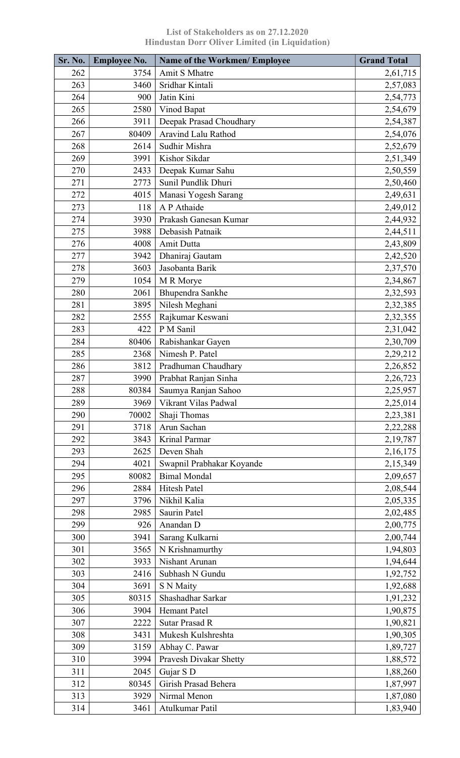| Sr. No. | <b>Employee No.</b> | <b>Name of the Workmen/ Employee</b> | <b>Grand Total</b> |
|---------|---------------------|--------------------------------------|--------------------|
| 262     | 3754                | Amit S Mhatre                        | 2,61,715           |
| 263     | 3460                | Sridhar Kintali                      | 2,57,083           |
| 264     | 900                 | Jatin Kini                           | 2,54,773           |
| 265     | 2580                | Vinod Bapat                          | 2,54,679           |
| 266     | 3911                | Deepak Prasad Choudhary              | 2,54,387           |
| 267     | 80409               | Aravind Lalu Rathod                  | 2,54,076           |
| 268     | 2614                | Sudhir Mishra                        | 2,52,679           |
| 269     | 3991                | Kishor Sikdar                        | 2,51,349           |
| 270     | 2433                | Deepak Kumar Sahu                    | 2,50,559           |
| 271     | 2773                | Sunil Pundlik Dhuri                  | 2,50,460           |
| 272     | 4015                | Manasi Yogesh Sarang                 | 2,49,631           |
| 273     | 118                 | A P Athaide                          | 2,49,012           |
| 274     | 3930                | Prakash Ganesan Kumar                | 2,44,932           |
| 275     | 3988                | Debasish Patnaik                     | 2,44,511           |
| 276     | 4008                | Amit Dutta                           | 2,43,809           |
| 277     | 3942                | Dhaniraj Gautam                      | 2,42,520           |
| 278     | 3603                | Jasobanta Barik                      | 2,37,570           |
| 279     | 1054                | M R Morye                            | 2,34,867           |
| 280     | 2061                | Bhupendra Sankhe                     | 2,32,593           |
| 281     | 3895                | Nilesh Meghani                       | 2,32,385           |
| 282     | 2555                | Rajkumar Keswani                     | 2,32,355           |
| 283     | 422                 | P M Sanil                            |                    |
| 284     | 80406               | Rabishankar Gayen                    | 2,31,042           |
| 285     | 2368                | Nimesh P. Patel                      | 2,30,709           |
| 286     |                     |                                      | 2,29,212           |
|         | 3812                | Pradhuman Chaudhary                  | 2,26,852           |
| 287     | 3990                | Prabhat Ranjan Sinha                 | 2,26,723           |
| 288     | 80384               | Saumya Ranjan Sahoo                  | 2,25,957           |
| 289     | 3969                | Vikrant Vilas Padwal                 | 2,25,014           |
| 290     | 70002               | Shaji Thomas                         | 2,23,381           |
| 291     | 3718                | Arun Sachan                          | 2,22,288           |
| 292     | 3843                | Krinal Parmar                        | 2,19,787           |
| 293     | 2625                | Deven Shah                           | 2,16,175           |
| 294     | 4021                | Swapnil Prabhakar Koyande            | 2,15,349           |
| 295     | 80082               | <b>Bimal Mondal</b>                  | 2,09,657           |
| 296     | 2884                | Hitesh Patel                         | 2,08,544           |
| 297     | 3796                | Nikhil Kalia                         | 2,05,335           |
| 298     | 2985                | Saurin Patel                         | 2,02,485           |
| 299     | 926                 | Anandan D                            | 2,00,775           |
| 300     | 3941                | Sarang Kulkarni                      | 2,00,744           |
| 301     | 3565                | N Krishnamurthy                      | 1,94,803           |
| 302     | 3933                | Nishant Arunan                       | 1,94,644           |
| 303     | 2416                | Subhash N Gundu                      | 1,92,752           |
| 304     | 3691                | S N Maity                            | 1,92,688           |
| 305     | 80315               | Shashadhar Sarkar                    | 1,91,232           |
| 306     | 3904                | <b>Hemant Patel</b>                  | 1,90,875           |
| 307     | 2222                | <b>Sutar Prasad R</b>                | 1,90,821           |
| 308     | 3431                | Mukesh Kulshreshta                   | 1,90,305           |
| 309     | 3159                | Abhay C. Pawar                       | 1,89,727           |
| 310     | 3994                | Pravesh Divakar Shetty               | 1,88,572           |
| 311     | 2045                | Gujar S D                            | 1,88,260           |
| 312     | 80345               | Girish Prasad Behera                 | 1,87,997           |
| 313     | 3929                | Nirmal Menon                         | 1,87,080           |
| 314     | 3461                | Atulkumar Patil                      | 1,83,940           |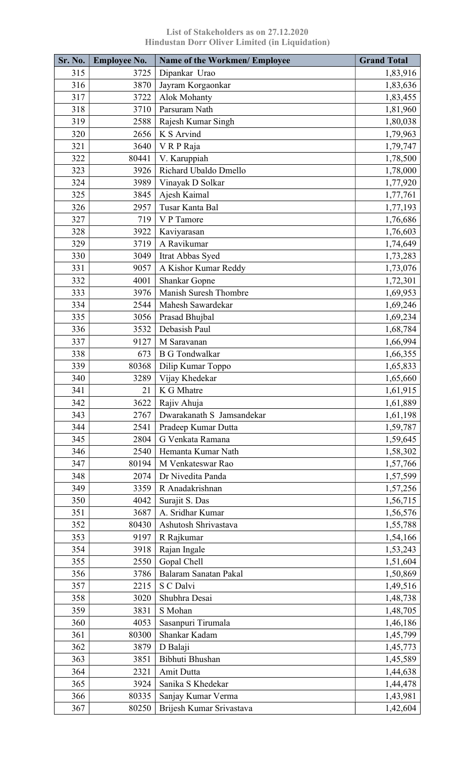| Sr. No. | <b>Employee No.</b> | <b>Name of the Workmen/ Employee</b> | <b>Grand Total</b> |
|---------|---------------------|--------------------------------------|--------------------|
| 315     | 3725                | Dipankar Urao                        | 1,83,916           |
| 316     | 3870                | Jayram Korgaonkar                    | 1,83,636           |
| 317     | 3722                | <b>Alok Mohanty</b>                  | 1,83,455           |
| 318     | 3710                | Parsuram Nath                        | 1,81,960           |
| 319     | 2588                | Rajesh Kumar Singh                   | 1,80,038           |
| 320     | 2656                | K S Arvind                           | 1,79,963           |
| 321     | 3640                | VRPRaja                              | 1,79,747           |
| 322     | 80441               | V. Karuppiah                         | 1,78,500           |
| 323     | 3926                | Richard Ubaldo Dmello                | 1,78,000           |
| 324     | 3989                | Vinayak D Solkar                     | 1,77,920           |
| 325     | 3845                | Ajesh Kaimal                         | 1,77,761           |
| 326     | 2957                | Tusar Kanta Bal                      | 1,77,193           |
| 327     | 719                 | V P Tamore                           | 1,76,686           |
| 328     | 3922                | Kaviyarasan                          | 1,76,603           |
| 329     | 3719                | A Ravikumar                          | 1,74,649           |
| 330     | 3049                | Itrat Abbas Syed                     | 1,73,283           |
| 331     | 9057                | A Kishor Kumar Reddy                 | 1,73,076           |
| 332     | 4001                | <b>Shankar Gopne</b>                 | 1,72,301           |
| 333     | 3976                | Manish Suresh Thombre                | 1,69,953           |
| 334     | 2544                | Mahesh Sawardekar                    | 1,69,246           |
| 335     | 3056                | Prasad Bhujbal                       | 1,69,234           |
| 336     | 3532                | Debasish Paul                        | 1,68,784           |
| 337     | 9127                | M Saravanan                          | 1,66,994           |
| 338     | 673                 | <b>B G Tondwalkar</b>                | 1,66,355           |
| 339     | 80368               | Dilip Kumar Toppo                    | 1,65,833           |
| 340     | 3289                | Vijay Khedekar                       | 1,65,660           |
| 341     | 21                  | K G Mhatre                           | 1,61,915           |
| 342     | 3622                | Rajiv Ahuja                          | 1,61,889           |
| 343     | 2767                | Dwarakanath S Jamsandekar            | 1,61,198           |
| 344     | 2541                | Pradeep Kumar Dutta                  | 1,59,787           |
| 345     | 2804                | G Venkata Ramana                     | 1,59,645           |
| 346     | 2540                | Hemanta Kumar Nath                   | 1,58,302           |
| 347     | 80194               | M Venkateswar Rao                    | 1,57,766           |
| 348     | 2074                | Dr Nivedita Panda                    | 1,57,599           |
| 349     | 3359                | R Anadakrishnan                      | 1,57,256           |
| 350     | 4042                | Surajit S. Das                       | 1,56,715           |
| 351     | 3687                | A. Sridhar Kumar                     | 1,56,576           |
| 352     | 80430               | Ashutosh Shrivastava                 | 1,55,788           |
| 353     | 9197                | R Rajkumar                           | 1,54,166           |
| 354     | 3918                | Rajan Ingale                         | 1,53,243           |
| 355     | 2550                | Gopal Chell                          | 1,51,604           |
| 356     | 3786                | Balaram Sanatan Pakal                | 1,50,869           |
| 357     | 2215                | S C Dalvi                            | 1,49,516           |
| 358     | 3020                | Shubhra Desai                        | 1,48,738           |
| 359     | 3831                | S Mohan                              | 1,48,705           |
| 360     | 4053                | Sasanpuri Tirumala                   | 1,46,186           |
| 361     | 80300               | Shankar Kadam                        | 1,45,799           |
| 362     | 3879                | D Balaji                             | 1,45,773           |
| 363     | 3851                | Bibhuti Bhushan                      | 1,45,589           |
| 364     | 2321                | <b>Amit Dutta</b>                    | 1,44,638           |
| 365     | 3924                | Sanika S Khedekar                    |                    |
| 366     | 80335               | Sanjay Kumar Verma                   | 1,44,478           |
| 367     | 80250               | Brijesh Kumar Srivastava             | 1,43,981           |
|         |                     |                                      | 1,42,604           |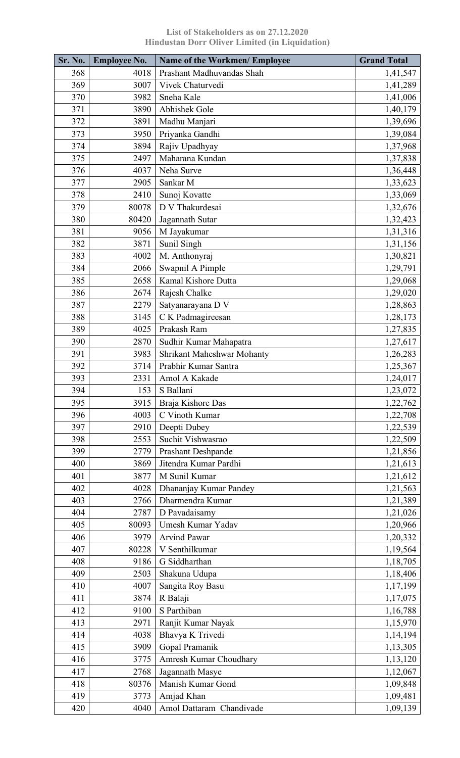| Sr. No. | <b>Employee No.</b> | Name of the Workmen/ Employee | <b>Grand Total</b> |
|---------|---------------------|-------------------------------|--------------------|
| 368     | 4018                | Prashant Madhuvandas Shah     | 1,41,547           |
| 369     | 3007                | Vivek Chaturvedi              | 1,41,289           |
| 370     | 3982                | Sneha Kale                    | 1,41,006           |
| 371     | 3890                | Abhishek Gole                 | 1,40,179           |
| 372     | 3891                | Madhu Manjari                 | 1,39,696           |
| 373     | 3950                | Priyanka Gandhi               | 1,39,084           |
| 374     | 3894                | Rajiv Upadhyay                | 1,37,968           |
| 375     | 2497                | Maharana Kundan               | 1,37,838           |
| 376     | 4037                | Neha Surve                    | 1,36,448           |
| 377     | 2905                | Sankar M                      | 1,33,623           |
| 378     | 2410                | Sunoj Kovatte                 | 1,33,069           |
| 379     | 80078               | D V Thakurdesai               | 1,32,676           |
| 380     | 80420               | Jagannath Sutar               | 1,32,423           |
| 381     | 9056                | M Jayakumar                   | 1,31,316           |
| 382     | 3871                | Sunil Singh                   | 1,31,156           |
| 383     | 4002                | M. Anthonyraj                 | 1,30,821           |
| 384     | 2066                | Swapnil A Pimple              | 1,29,791           |
| 385     | 2658                | Kamal Kishore Dutta           | 1,29,068           |
| 386     | 2674                | Rajesh Chalke                 | 1,29,020           |
| 387     | 2279                | Satyanarayana D V             | 1,28,863           |
| 388     | 3145                | C K Padmagireesan             | 1,28,173           |
| 389     | 4025                | Prakash Ram                   | 1,27,835           |
| 390     | 2870                | Sudhir Kumar Mahapatra        | 1,27,617           |
| 391     | 3983                | Shrikant Maheshwar Mohanty    | 1,26,283           |
| 392     | 3714                | Prabhir Kumar Santra          | 1,25,367           |
| 393     | 2331                | Amol A Kakade                 | 1,24,017           |
| 394     | 153                 | S Ballani                     | 1,23,072           |
| 395     | 3915                | Braja Kishore Das             | 1,22,762           |
| 396     | 4003                | C Vinoth Kumar                | 1,22,708           |
| 397     | 2910                | Deepti Dubey                  | 1,22,539           |
| 398     | 2553                | Suchit Vishwasrao             | 1,22,509           |
| 399     | 2779                | Prashant Deshpande            | 1,21,856           |
| 400     | 3869                | Jitendra Kumar Pardhi         | 1,21,613           |
| 401     | 3877                | M Sunil Kumar                 | 1,21,612           |
| 402     | 4028                | Dhananjay Kumar Pandey        | 1,21,563           |
| 403     | 2766                | Dharmendra Kumar              | 1,21,389           |
| 404     | 2787                | D Pavadaisamy                 | 1,21,026           |
| 405     | 80093               | Umesh Kumar Yadav             | 1,20,966           |
| 406     | 3979                | <b>Arvind Pawar</b>           | 1,20,332           |
| 407     | 80228               | V Senthilkumar                | 1,19,564           |
| 408     | 9186                | G Siddharthan                 | 1,18,705           |
| 409     | 2503                | Shakuna Udupa                 | 1,18,406           |
| 410     | 4007                | Sangita Roy Basu              | 1,17,199           |
| 411     | 3874                | R Balaji                      | 1,17,075           |
| 412     | 9100                | S Parthiban                   | 1,16,788           |
| 413     | 2971                | Ranjit Kumar Nayak            | 1,15,970           |
| 414     | 4038                | Bhavya K Trivedi              | 1,14,194           |
| 415     | 3909                | Gopal Pramanik                | 1,13,305           |
| 416     | 3775                | Amresh Kumar Choudhary        | 1,13,120           |
| 417     | 2768                | Jagannath Masye               | 1,12,067           |
| 418     | 80376               | Manish Kumar Gond             | 1,09,848           |
| 419     | 3773                | Amjad Khan                    | 1,09,481           |
| 420     | 4040                | Amol Dattaram Chandivade      | 1,09,139           |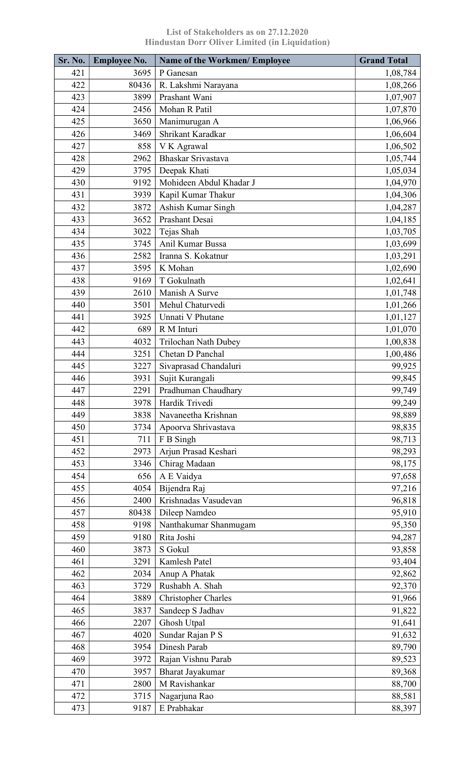| Sr. No. | <b>Employee No.</b> | <b>Name of the Workmen/ Employee</b> | <b>Grand Total</b> |
|---------|---------------------|--------------------------------------|--------------------|
| 421     | 3695                | P Ganesan                            | 1,08,784           |
| 422     | 80436               | R. Lakshmi Narayana                  | 1,08,266           |
| 423     | 3899                | Prashant Wani                        | 1,07,907           |
| 424     | 2456                | Mohan R Patil                        | 1,07,870           |
| 425     | 3650                | Manimurugan A                        | 1,06,966           |
| 426     | 3469                | Shrikant Karadkar                    | 1,06,604           |
| 427     | 858                 | V K Agrawal                          | 1,06,502           |
| 428     | 2962                | Bhaskar Srivastava                   | 1,05,744           |
| 429     | 3795                | Deepak Khati                         | 1,05,034           |
| 430     | 9192                | Mohideen Abdul Khadar J              | 1,04,970           |
| 431     | 3939                | Kapil Kumar Thakur                   | 1,04,306           |
| 432     | 3872                | Ashish Kumar Singh                   | 1,04,287           |
| 433     | 3652                | Prashant Desai                       | 1,04,185           |
| 434     | 3022                | Tejas Shah                           | 1,03,705           |
| 435     | 3745                | Anil Kumar Bussa                     | 1,03,699           |
| 436     | 2582                | Iranna S. Kokatnur                   | 1,03,291           |
| 437     | 3595                | K Mohan                              | 1,02,690           |
| 438     | 9169                | T Gokulnath                          | 1,02,641           |
| 439     | 2610                | Manish A Surve                       | 1,01,748           |
| 440     | 3501                | Mehul Chaturvedi                     | 1,01,266           |
| 441     | 3925                | Unnati V Phutane                     | 1,01,127           |
| 442     |                     | R M Inturi                           |                    |
|         | 689                 |                                      | 1,01,070           |
| 443     | 4032                | Trilochan Nath Dubey                 | 1,00,838           |
| 444     | 3251                | Chetan D Panchal                     | 1,00,486           |
| 445     | 3227                | Sivaprasad Chandaluri                | 99,925             |
| 446     | 3931                | Sujit Kurangali                      | 99,845             |
| 447     | 2291                | Pradhuman Chaudhary                  | 99,749             |
| 448     | 3978                | Hardik Trivedi                       | 99,249             |
| 449     | 3838                | Navaneetha Krishnan                  | 98,889             |
| 450     | 3734                | Apoorva Shrivastava                  | 98,835             |
| 451     | 711                 | F B Singh                            | 98,713             |
| 452     | 2973                | Arjun Prasad Keshari                 | 98,293             |
| 453     | 3346                | Chirag Madaan                        | 98,175             |
| 454     | 656                 | A E Vaidya                           | 97,658             |
| 455     | 4054                | Bijendra Raj                         | 97,216             |
| 456     | 2400                | Krishnadas Vasudevan                 | 96,818             |
| 457     | 80438               | Dileep Namdeo                        | 95,910             |
| 458     | 9198                | Nanthakumar Shanmugam                | 95,350             |
| 459     | 9180                | Rita Joshi                           | 94,287             |
| 460     | 3873                | S Gokul                              | 93,858             |
| 461     | 3291                | Kamlesh Patel                        | 93,404             |
| 462     | 2034                | Anup A Phatak                        | 92,862             |
| 463     | 3729                | Rushabh A. Shah                      | 92,370             |
| 464     | 3889                | <b>Christopher Charles</b>           | 91,966             |
| 465     | 3837                | Sandeep S Jadhav                     | 91,822             |
| 466     | 2207                | Ghosh Utpal                          | 91,641             |
| 467     | 4020                | Sundar Rajan P S                     | 91,632             |
| 468     | 3954                | <b>Dinesh Parab</b>                  | 89,790             |
| 469     | 3972                | Rajan Vishnu Parab                   | 89,523             |
| 470     | 3957                | Bharat Jayakumar                     | 89,368             |
| 471     | 2800                | M Ravishankar                        | 88,700             |
| 472     | 3715                | Nagarjuna Rao                        | 88,581             |
| 473     | 9187                | E Prabhakar                          | 88,397             |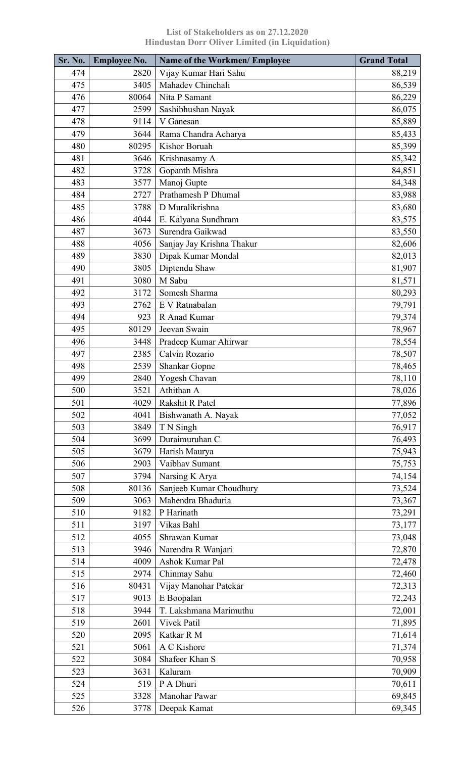| Sr. No.    | <b>Employee No.</b> | <b>Name of the Workmen/ Employee</b>  | <b>Grand Total</b> |
|------------|---------------------|---------------------------------------|--------------------|
| 474        | 2820                | Vijay Kumar Hari Sahu                 | 88,219             |
| 475        | 3405                | Mahadev Chinchali                     | 86,539             |
| 476        | 80064               | Nita P Samant                         | 86,229             |
| 477        | 2599                | Sashibhushan Nayak                    | 86,075             |
| 478        | 9114                | V Ganesan                             | 85,889             |
| 479        | 3644                | Rama Chandra Acharya                  | 85,433             |
| 480        | 80295               | Kishor Boruah                         | 85,399             |
| 481        | 3646                | Krishnasamy A                         | 85,342             |
| 482        | 3728                | Gopanth Mishra                        | 84,851             |
| 483        | 3577                | Manoj Gupte                           | 84,348             |
| 484        | 2727                | Prathamesh P Dhumal                   | 83,988             |
| 485        | 3788                | D Muralikrishna                       | 83,680             |
| 486        | 4044                | E. Kalyana Sundhram                   | 83,575             |
| 487        | 3673                | Surendra Gaikwad                      | 83,550             |
| 488        | 4056                | Sanjay Jay Krishna Thakur             | 82,606             |
| 489        | 3830                | Dipak Kumar Mondal                    | 82,013             |
| 490        | 3805                | Diptendu Shaw                         | 81,907             |
| 491        | 3080                | M Sabu                                | 81,571             |
| 492        | 3172                | Somesh Sharma                         | 80,293             |
| 493        | 2762                | E V Ratnabalan                        | 79,791             |
| 494        | 923                 | R Anad Kumar                          | 79,374             |
| 495        | 80129               | Jeevan Swain                          | 78,967             |
| 496        | 3448                | Pradeep Kumar Ahirwar                 | 78,554             |
| 497        | 2385                | Calvin Rozario                        | 78,507             |
| 498        | 2539                | <b>Shankar Gopne</b>                  | 78,465             |
| 499        | 2840                | Yogesh Chavan                         | 78,110             |
| 500        | 3521                | Athithan A                            | 78,026             |
| 501        | 4029                | Rakshit R Patel                       | 77,896             |
| 502        | 4041                | Bishwanath A. Nayak                   | 77,052             |
| 503        | 3849                | T N Singh                             | 76,917             |
| 504        | 3699                | Duraimuruhan C                        | 76,493             |
| 505        | 3679                | Harish Maurya                         | 75,943             |
| 506        | 2903                | Vaibhav Sumant                        | 75,753             |
| 507        | 3794                | Narsing K Arya                        | 74,154             |
| 508        | 80136               | Sanjeeb Kumar Choudhury               | 73,524             |
| 509        | 3063                | Mahendra Bhaduria                     | 73,367             |
| 510        | 9182                | P Harinath                            |                    |
| 511        | 3197                | Vikas Bahl                            | 73,291             |
|            |                     | Shrawan Kumar                         | 73,177             |
| 512<br>513 | 4055<br>3946        |                                       | 73,048             |
|            |                     | Narendra R Wanjari<br>Ashok Kumar Pal | 72,870             |
| 514        | 4009                |                                       | 72,478             |
| 515        | 2974                | Chinmay Sahu                          | 72,460             |
| 516        | 80431               | Vijay Manohar Patekar                 | 72,313             |
| 517        | 9013                | E Boopalan                            | 72,243             |
| 518        | 3944                | T. Lakshmana Marimuthu                | 72,001             |
| 519        | 2601                | Vivek Patil                           | 71,895             |
| 520        | 2095                | Katkar R M                            | 71,614             |
| 521        | 5061                | A C Kishore                           | 71,374             |
| 522        | 3084                | Shafeer Khan S                        | 70,958             |
| 523        | 3631                | Kaluram                               | 70,909             |
| 524        | 519                 | P A Dhuri                             | 70,611             |
| 525        | 3328                | Manohar Pawar                         | 69,845             |
| 526        | 3778                | Deepak Kamat                          | 69,345             |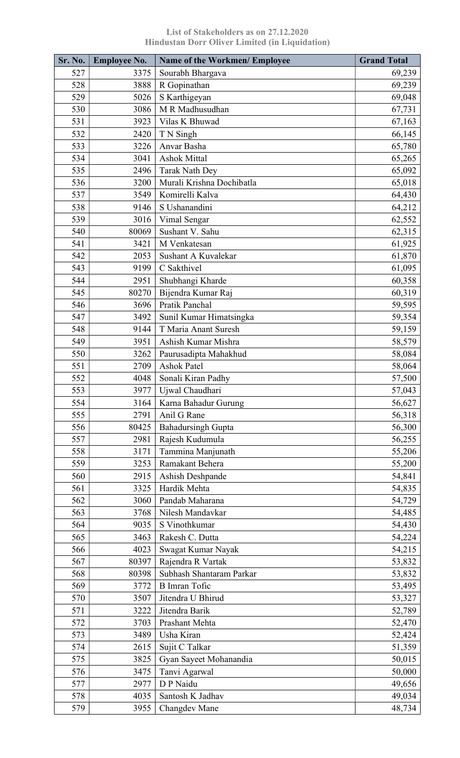| Sr. No. | <b>Employee No.</b> | <b>Name of the Workmen/ Employee</b>            | <b>Grand Total</b> |
|---------|---------------------|-------------------------------------------------|--------------------|
| 527     | 3375                | Sourabh Bhargava                                | 69,239             |
| 528     | 3888                | R Gopinathan                                    | 69,239             |
| 529     | 5026                | S Karthigeyan                                   | 69,048             |
| 530     | 3086                | M R Madhusudhan                                 | 67,731             |
| 531     | 3923                | Vilas K Bhuwad                                  | 67,163             |
| 532     | 2420                | T N Singh                                       | 66,145             |
| 533     | 3226                | Anvar Basha                                     | 65,780             |
| 534     | 3041                | <b>Ashok Mittal</b>                             | 65,265             |
| 535     | 2496                | <b>Tarak Nath Dey</b>                           | 65,092             |
| 536     | 3200                | Murali Krishna Dochibatla                       | 65,018             |
| 537     | 3549                | Komirelli Kalva                                 | 64,430             |
| 538     | 9146                | S Ushanandini                                   | 64,212             |
| 539     | 3016                | Vimal Sengar                                    | 62,552             |
| 540     | 80069               | Sushant V. Sahu                                 | 62,315             |
| 541     | 3421                | M Venkatesan                                    | 61,925             |
| 542     | 2053                | Sushant A Kuvalekar                             | 61,870             |
| 543     | 9199                | C Sakthivel                                     | 61,095             |
| 544     | 2951                | Shubhangi Kharde                                | 60,358             |
| 545     | 80270               | Bijendra Kumar Raj                              | 60,319             |
| 546     | 3696                | Pratik Panchal                                  |                    |
| 547     |                     |                                                 | 59,595             |
|         | 3492                | Sunil Kumar Himatsingka<br>T Maria Anant Suresh | 59,354             |
| 548     | 9144                |                                                 | 59,159             |
| 549     | 3951                | Ashish Kumar Mishra                             | 58,579             |
| 550     | 3262                | Paurusadipta Mahakhud                           | 58,084             |
| 551     | 2709                | <b>Ashok Patel</b>                              | 58,064             |
| 552     | 4048                | Sonali Kiran Padhy                              | 57,500             |
| 553     | 3977                | Ujwal Chaudhari                                 | 57,043             |
| 554     | 3164                | Karna Bahadur Gurung                            | 56,627             |
| 555     | 2791                | Anil G Rane                                     | 56,318             |
| 556     | 80425               | <b>Bahadursingh Gupta</b>                       | 56,300             |
| 557     | 2981                | Rajesh Kudumula                                 | 56,255             |
| 558     | 3171                | Tammina Manjunath                               | 55,206             |
| 559     | 3253                | Ramakant Behera                                 | 55,200             |
| 560     | 2915                | Ashish Deshpande                                | 54,841             |
| 561     | 3325                | Hardik Mehta                                    | 54,835             |
| 562     | 3060                | Pandab Maharana                                 | 54,729             |
| 563     | 3768                | Nilesh Mandavkar                                | 54,485             |
| 564     | 9035                | S Vinothkumar                                   | 54,430             |
| 565     | 3463                | Rakesh C. Dutta                                 | 54,224             |
| 566     | 4023                | Swagat Kumar Nayak                              | 54,215             |
| 567     | 80397               | Rajendra R Vartak                               | 53,832             |
| 568     | 80398               | Subhash Shantaram Parkar                        | 53,832             |
| 569     | 3772                | <b>B</b> Imran Tofic                            | 53,495             |
| 570     | 3507                | Jitendra U Bhirud                               | 53,327             |
| 571     | 3222                | Jitendra Barik                                  | 52,789             |
| 572     | 3703                | Prashant Mehta                                  | 52,470             |
| 573     | 3489                | Usha Kiran                                      | 52,424             |
| 574     | 2615                | Sujit C Talkar                                  | 51,359             |
| 575     | 3825                | Gyan Sayeet Mohanandia                          | 50,015             |
| 576     | 3475                | Tanvi Agarwal                                   | 50,000             |
| 577     | 2977                | D P Naidu                                       | 49,656             |
| 578     | 4035                | Santosh K Jadhav                                | 49,034             |
| 579     | 3955                | Changdev Mane                                   | 48,734             |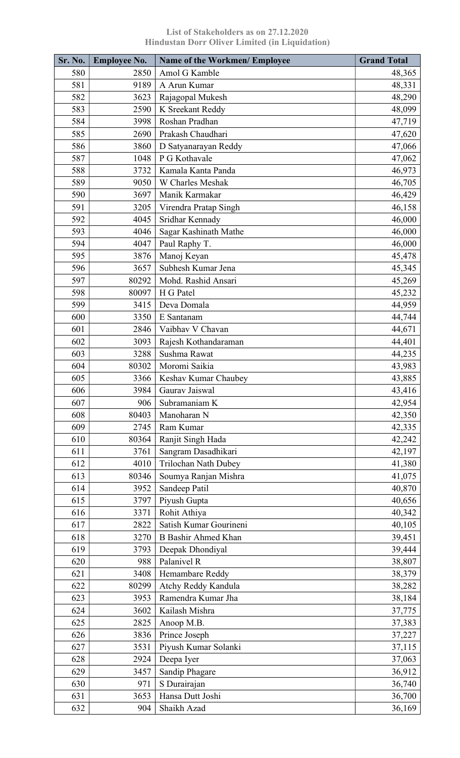| <b>Sr. No.</b> | <b>Employee No.</b> | <b>Name of the Workmen/ Employee</b> | <b>Grand Total</b> |
|----------------|---------------------|--------------------------------------|--------------------|
| 580            | 2850                | Amol G Kamble                        | 48,365             |
| 581            | 9189                | A Arun Kumar                         | 48,331             |
| 582            | 3623                | Rajagopal Mukesh                     | 48,290             |
| 583            | 2590                | K Sreekant Reddy                     | 48,099             |
| 584            | 3998                | Roshan Pradhan                       | 47,719             |
| 585            | 2690                | Prakash Chaudhari                    | 47,620             |
| 586            | 3860                | D Satyanarayan Reddy                 | 47,066             |
| 587            | 1048                | P G Kothavale                        | 47,062             |
| 588            | 3732                | Kamala Kanta Panda                   | 46,973             |
| 589            | 9050                | W Charles Meshak                     | 46,705             |
| 590            | 3697                | Manik Karmakar                       | 46,429             |
| 591            | 3205                | Virendra Pratap Singh                | 46,158             |
| 592            | 4045                | Sridhar Kennady                      | 46,000             |
| 593            | 4046                | Sagar Kashinath Mathe                | 46,000             |
| 594            | 4047                | Paul Raphy T.                        | 46,000             |
| 595            | 3876                | Manoj Keyan                          | 45,478             |
| 596            | 3657                | Subhesh Kumar Jena                   | 45,345             |
| 597            | 80292               | Mohd. Rashid Ansari                  | 45,269             |
| 598            | 80097               | H G Patel                            | 45,232             |
| 599            | 3415                | Deva Domala                          | 44,959             |
| 600            | 3350                | E Santanam                           | 44,744             |
| 601            | 2846                | Vaibhav V Chavan                     | 44,671             |
| 602            | 3093                | Rajesh Kothandaraman                 | 44,401             |
| 603            | 3288                | Sushma Rawat                         | 44,235             |
| 604            | 80302               | Moromi Saikia                        | 43,983             |
| 605            | 3366                | Keshav Kumar Chaubey                 | 43,885             |
|                | 3984                | Gaurav Jaiswal                       |                    |
| 606            |                     |                                      | 43,416             |
| 607<br>608     | 906                 | Subramaniam K<br>Manoharan N         | 42,954             |
|                | 80403               | Ram Kumar                            | 42,350             |
| 609            | 2745                |                                      | 42,335             |
| 610            | 80364               | Ranjit Singh Hada                    | 42,242             |
| 611            | 3761                | Sangram Dasadhikari                  | 42,197             |
| 612            | 4010                | Trilochan Nath Dubey                 | 41,380             |
| 613            | 80346               | Soumya Ranjan Mishra                 | 41,075             |
| 614            | 3952                | Sandeep Patil                        | 40,870             |
| 615            | 3797                | Piyush Gupta                         | 40,656             |
| 616            | 3371                | Rohit Athiya                         | 40,342             |
| 617            | 2822                | Satish Kumar Gourineni               | 40,105             |
| 618            | 3270                | <b>B</b> Bashir Ahmed Khan           | 39,451             |
| 619            | 3793                | Deepak Dhondiyal                     | 39,444             |
| 620            | 988                 | Palanivel R                          | 38,807             |
| 621            | 3408                | Hemambare Reddy                      | 38,379             |
| 622            | 80299               | Atchy Reddy Kandula                  | 38,282             |
| 623            | 3953                | Ramendra Kumar Jha                   | 38,184             |
| 624            | 3602                | Kailash Mishra                       | 37,775             |
| 625            | 2825                | Anoop M.B.                           | 37,383             |
| 626            | 3836                | Prince Joseph                        | 37,227             |
| 627            | 3531                | Piyush Kumar Solanki                 | 37,115             |
| 628            | 2924                | Deepa Iyer                           | 37,063             |
| 629            | 3457                | Sandip Phagare                       | 36,912             |
| 630            | 971                 | S Durairajan                         | 36,740             |
| 631            | 3653                | Hansa Dutt Joshi                     | 36,700             |
| 632            | 904                 | Shaikh Azad                          | 36,169             |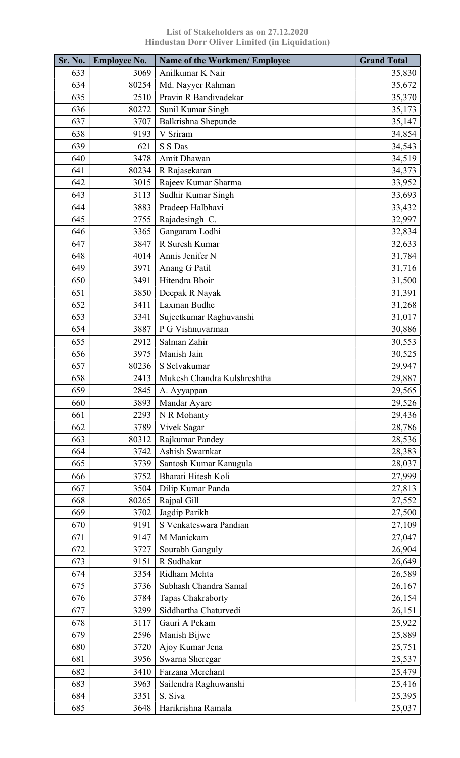| Sr. No. | <b>Employee No.</b> | <b>Name of the Workmen/ Employee</b> | <b>Grand Total</b> |
|---------|---------------------|--------------------------------------|--------------------|
| 633     | 3069                | Anilkumar K Nair                     | 35,830             |
| 634     | 80254               | Md. Nayyer Rahman                    | 35,672             |
| 635     | 2510                | Pravin R Bandivadekar                | 35,370             |
| 636     | 80272               | Sunil Kumar Singh                    | 35,173             |
| 637     | 3707                | Balkrishna Shepunde                  | 35,147             |
| 638     | 9193                | V Sriram                             | 34,854             |
| 639     | 621                 | S S Das                              | 34,543             |
| 640     | 3478                | Amit Dhawan                          | 34,519             |
| 641     | 80234               | R Rajasekaran                        | 34,373             |
| 642     | 3015                | Rajeev Kumar Sharma                  | 33,952             |
| 643     | 3113                | Sudhir Kumar Singh                   | 33,693             |
| 644     | 3883                | Pradeep Halbhavi                     | 33,432             |
| 645     | 2755                | Rajadesingh C.                       | 32,997             |
| 646     | 3365                | Gangaram Lodhi                       | 32,834             |
| 647     | 3847                | R Suresh Kumar                       | 32,633             |
| 648     | 4014                | Annis Jenifer N                      | 31,784             |
| 649     | 3971                | Anang G Patil                        | 31,716             |
| 650     | 3491                | Hitendra Bhoir                       | 31,500             |
| 651     | 3850                | Deepak R Nayak                       | 31,391             |
| 652     | 3411                | Laxman Budhe                         | 31,268             |
| 653     | 3341                | Sujeetkumar Raghuvanshi              | 31,017             |
| 654     | 3887                | P G Vishnuvarman                     | 30,886             |
| 655     | 2912                | Salman Zahir                         | 30,553             |
| 656     | 3975                | Manish Jain                          | 30,525             |
| 657     | 80236               | S Selvakumar                         | 29,947             |
| 658     | 2413                | Mukesh Chandra Kulshreshtha          | 29,887             |
| 659     | 2845                | A. Ayyappan                          | 29,565             |
| 660     | 3893                | Mandar Ayare                         | 29,526             |
| 661     | 2293                | N R Mohanty                          | 29,436             |
| 662     | 3789                | Vivek Sagar                          | 28,786             |
| 663     | 80312               | Rajkumar Pandey                      | 28,536             |
| 664     | 3742                | Ashish Swarnkar                      | 28,383             |
| 665     | 3739                | Santosh Kumar Kanugula               | 28,037             |
| 666     | 3752                | Bharati Hitesh Koli                  | 27,999             |
| 667     | 3504                | Dilip Kumar Panda                    | 27,813             |
| 668     | 80265               | Rajpal Gill                          | 27,552             |
| 669     | 3702                | Jagdip Parikh                        | 27,500             |
| 670     | 9191                | S Venkateswara Pandian               | 27,109             |
| 671     | 9147                | M Manickam                           | 27,047             |
| 672     | 3727                | Sourabh Ganguly                      | 26,904             |
| 673     | 9151                | R Sudhakar                           | 26,649             |
| 674     | 3354                | Ridham Mehta                         | 26,589             |
| 675     | 3736                | Subhash Chandra Samal                | 26,167             |
| 676     | 3784                | Tapas Chakraborty                    | 26,154             |
| 677     | 3299                | Siddhartha Chaturvedi                | 26,151             |
| 678     | 3117                | Gauri A Pekam                        | 25,922             |
| 679     | 2596                | Manish Bijwe                         | 25,889             |
| 680     |                     |                                      |                    |
| 681     | 3720                | Ajoy Kumar Jena                      | 25,751             |
| 682     | 3956<br>3410        | Swarna Sheregar<br>Farzana Merchant  | 25,537             |
| 683     |                     |                                      | 25,479             |
|         | 3963                | Sailendra Raghuwanshi<br>S. Siva     | 25,416             |
| 684     | 3351                |                                      | 25,395             |
| 685     | 3648                | Harikrishna Ramala                   | 25,037             |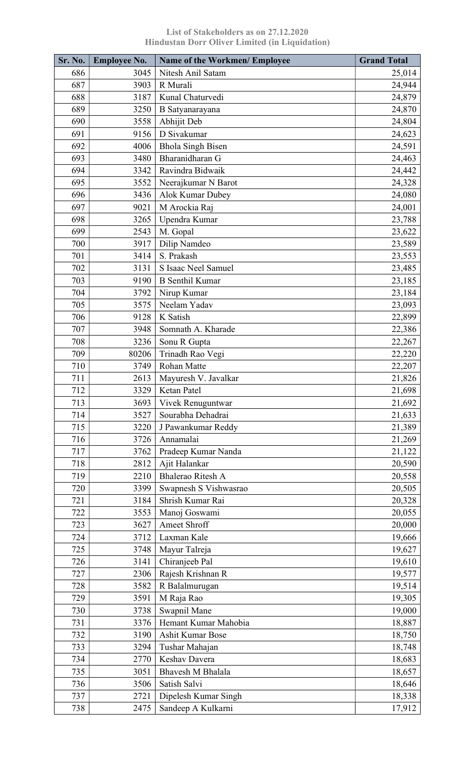| Sr. No. | <b>Employee No.</b> | <b>Name of the Workmen/ Employee</b> | <b>Grand Total</b> |
|---------|---------------------|--------------------------------------|--------------------|
| 686     | 3045                | Nitesh Anil Satam                    | 25,014             |
| 687     | 3903                | R Murali                             | 24,944             |
| 688     | 3187                | Kunal Chaturvedi                     | 24,879             |
| 689     | 3250                | B Satyanarayana                      | 24,870             |
| 690     | 3558                | Abhijit Deb                          | 24,804             |
| 691     | 9156                | D Sivakumar                          | 24,623             |
| 692     | 4006                | <b>Bhola Singh Bisen</b>             | 24,591             |
| 693     | 3480                | Bharanidharan G                      | 24,463             |
| 694     | 3342                | Ravindra Bidwaik                     | 24,442             |
| 695     | 3552                | Neerajkumar N Barot                  | 24,328             |
| 696     | 3436                | Alok Kumar Dubey                     | 24,080             |
| 697     | 9021                | M Arockia Raj                        | 24,001             |
| 698     | 3265                | Upendra Kumar                        | 23,788             |
| 699     | 2543                | M. Gopal                             | 23,622             |
| 700     | 3917                | Dilip Namdeo                         | 23,589             |
| 701     | 3414                | S. Prakash                           | 23,553             |
| 702     | 3131                | S Isaac Neel Samuel                  | 23,485             |
| 703     | 9190                | <b>B</b> Senthil Kumar               | 23,185             |
| 704     | 3792                | Nirup Kumar                          | 23,184             |
| 705     | 3575                | Neelam Yadav                         | 23,093             |
| 706     | 9128                | K Satish                             | 22,899             |
| 707     | 3948                | Somnath A. Kharade                   | 22,386             |
| 708     | 3236                | Sonu R Gupta                         | 22,267             |
| 709     | 80206               | Trinadh Rao Vegi                     | 22,220             |
| 710     | 3749                | Rohan Matte                          | 22,207             |
| 711     | 2613                | Mayuresh V. Javalkar                 | 21,826             |
| 712     | 3329                | Ketan Patel                          | 21,698             |
| 713     | 3693                | Vivek Renuguntwar                    | 21,692             |
| 714     | 3527                | Sourabha Dehadrai                    | 21,633             |
| 715     | 3220                | J Pawankumar Reddy                   | 21,389             |
| 716     | 3726                | Annamalai                            | 21,269             |
| 717     | 3762                | Pradeep Kumar Nanda                  | 21,122             |
| 718     | 2812                | Ajit Halankar                        | 20,590             |
| 719     | 2210                | <b>Bhalerao Ritesh A</b>             | 20,558             |
| 720     | 3399                | Swapnesh S Vishwasrao                | 20,505             |
| 721     | 3184                | Shrish Kumar Rai                     | 20,328             |
| 722     | 3553                | Manoj Goswami                        | 20,055             |
| 723     | 3627                | Ameet Shroff                         | 20,000             |
| 724     | 3712                | Laxman Kale                          | 19,666             |
| 725     | 3748                | Mayur Talreja                        | 19,627             |
| 726     | 3141                | Chiranjeeb Pal                       | 19,610             |
| 727     | 2306                | Rajesh Krishnan R                    | 19,577             |
| 728     | 3582                | R Balalmurugan                       | 19,514             |
| 729     | 3591                | M Raja Rao                           | 19,305             |
| 730     | 3738                | Swapnil Mane                         | 19,000             |
| 731     | 3376                | Hemant Kumar Mahobia                 | 18,887             |
| 732     | 3190                | <b>Ashit Kumar Bose</b>              | 18,750             |
| 733     | 3294                | Tushar Mahajan                       | 18,748             |
| 734     | 2770                | Keshav Davera                        | 18,683             |
| 735     | 3051                | <b>Bhavesh M Bhalala</b>             | 18,657             |
| 736     |                     | Satish Salvi                         |                    |
| 737     | 3506<br>2721        |                                      | 18,646             |
|         | 2475                | Dipelesh Kumar Singh                 | 18,338             |
| 738     |                     | Sandeep A Kulkarni                   | 17,912             |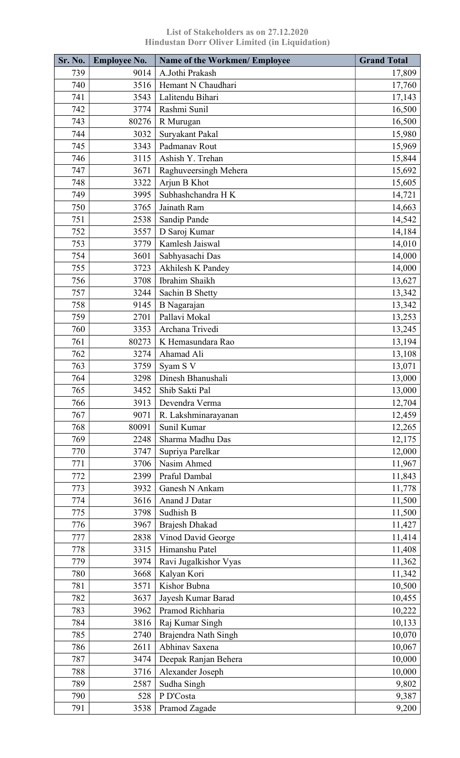| Sr. No. | <b>Employee No.</b> | <b>Name of the Workmen/ Employee</b> | <b>Grand Total</b> |
|---------|---------------------|--------------------------------------|--------------------|
| 739     | 9014                | A.Jothi Prakash                      | 17,809             |
| 740     | 3516                | Hemant N Chaudhari                   | 17,760             |
| 741     | 3543                | Lalitendu Bihari                     | 17,143             |
| 742     | 3774                | Rashmi Sunil                         | 16,500             |
| 743     | 80276               | R Murugan                            | 16,500             |
| 744     | 3032                | Suryakant Pakal                      | 15,980             |
| 745     | 3343                | Padmanav Rout                        | 15,969             |
| 746     | 3115                | Ashish Y. Trehan                     | 15,844             |
| 747     | 3671                | Raghuveersingh Mehera                | 15,692             |
| 748     | 3322                | Arjun B Khot                         | 15,605             |
| 749     | 3995                | Subhashchandra HK                    | 14,721             |
| 750     | 3765                | Jainath Ram                          | 14,663             |
| 751     | 2538                | Sandip Pande                         | 14,542             |
| 752     | 3557                | D Saroj Kumar                        | 14,184             |
| 753     | 3779                | Kamlesh Jaiswal                      | 14,010             |
| 754     | 3601                | Sabhyasachi Das                      | 14,000             |
| 755     | 3723                | Akhilesh K Pandey                    | 14,000             |
| 756     | 3708                | Ibrahim Shaikh                       | 13,627             |
| 757     | 3244                | Sachin B Shetty                      | 13,342             |
| 758     | 9145                | <b>B</b> Nagarajan                   | 13,342             |
| 759     | 2701                | Pallavi Mokal                        | 13,253             |
| 760     | 3353                | Archana Trivedi                      | 13,245             |
| 761     | 80273               | K Hemasundara Rao                    | 13,194             |
| 762     | 3274                | Ahamad Ali                           | 13,108             |
| 763     | 3759                | Syam S V                             | 13,071             |
| 764     | 3298                | Dinesh Bhanushali                    | 13,000             |
| 765     | 3452                | Shib Sakti Pal                       | 13,000             |
| 766     | 3913                | Devendra Verma                       | 12,704             |
| 767     | 9071                | R. Lakshminarayanan                  | 12,459             |
| 768     | 80091               | Sunil Kumar                          | 12,265             |
| 769     | 2248                | Sharma Madhu Das                     | 12,175             |
| 770     | 3747                | Supriya Parelkar                     | 12,000             |
| 771     | 3706                | Nasim Ahmed                          | 11,967             |
| 772     | 2399                | Praful Dambal                        | 11,843             |
| 773     | 3932                | Ganesh N Ankam                       | 11,778             |
| 774     | 3616                | Anand J Datar                        | 11,500             |
| 775     | 3798                | Sudhish B                            | 11,500             |
| 776     | 3967                | <b>Brajesh Dhakad</b>                | 11,427             |
| 777     | 2838                | Vinod David George                   | 11,414             |
| 778     | 3315                | Himanshu Patel                       | 11,408             |
| 779     | 3974                | Ravi Jugalkishor Vyas                | 11,362             |
| 780     | 3668                | Kalyan Kori                          | 11,342             |
| 781     | 3571                | Kishor Bubna                         | 10,500             |
| 782     | 3637                | Jayesh Kumar Barad                   | 10,455             |
| 783     | 3962                | Pramod Richharia                     | 10,222             |
| 784     | 3816                | Raj Kumar Singh                      | 10,133             |
| 785     | 2740                | Brajendra Nath Singh                 | 10,070             |
| 786     | 2611                | Abhinav Saxena                       | 10,067             |
| 787     | 3474                | Deepak Ranjan Behera                 | 10,000             |
| 788     | 3716                | Alexander Joseph                     | 10,000             |
| 789     | 2587                | Sudha Singh                          | 9,802              |
| 790     | 528                 | P D'Costa                            | 9,387              |
| 791     | 3538                | Pramod Zagade                        | 9,200              |
|         |                     |                                      |                    |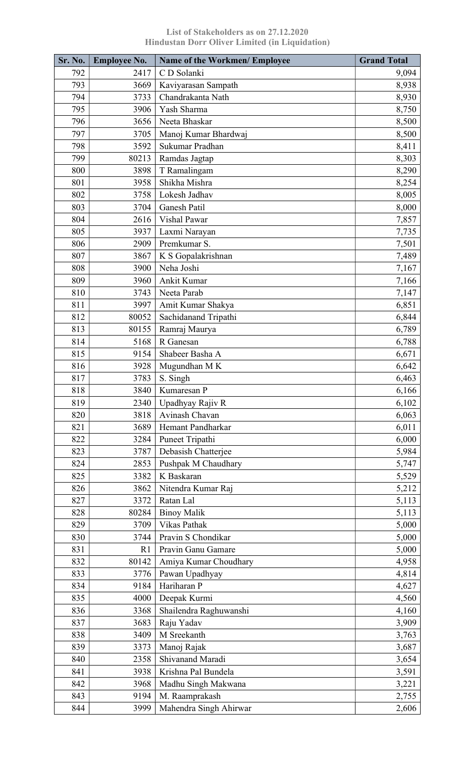| Sr. No. | <b>Employee No.</b> | <b>Name of the Workmen/ Employee</b> | <b>Grand Total</b> |
|---------|---------------------|--------------------------------------|--------------------|
| 792     | 2417                | C D Solanki                          | 9,094              |
| 793     | 3669                | Kaviyarasan Sampath                  | 8,938              |
| 794     | 3733                | Chandrakanta Nath                    | 8,930              |
| 795     | 3906                | Yash Sharma                          | 8,750              |
| 796     | 3656                | Neeta Bhaskar                        | 8,500              |
| 797     | 3705                | Manoj Kumar Bhardwaj                 | 8,500              |
| 798     | 3592                | Sukumar Pradhan                      | 8,411              |
| 799     | 80213               | Ramdas Jagtap                        | 8,303              |
| 800     | 3898                | T Ramalingam                         | 8,290              |
| 801     | 3958                | Shikha Mishra                        | 8,254              |
| 802     | 3758                | Lokesh Jadhav                        | 8,005              |
| 803     | 3704                | <b>Ganesh Patil</b>                  | 8,000              |
| 804     | 2616                | <b>Vishal Pawar</b>                  | 7,857              |
| 805     | 3937                | Laxmi Narayan                        | 7,735              |
| 806     | 2909                | Premkumar S.                         | 7,501              |
| 807     | 3867                | K S Gopalakrishnan                   | 7,489              |
| 808     | 3900                | Neha Joshi                           | 7,167              |
| 809     | 3960                | Ankit Kumar                          | 7,166              |
| 810     | 3743                | Neeta Parab                          | 7,147              |
| 811     | 3997                | Amit Kumar Shakya                    | 6,851              |
| 812     | 80052               | Sachidanand Tripathi                 | 6,844              |
| 813     | 80155               | Ramraj Maurya                        | 6,789              |
| 814     | 5168                | R Ganesan                            | 6,788              |
| 815     | 9154                | Shabeer Basha A                      | 6,671              |
| 816     | 3928                | Mugundhan M K                        | 6,642              |
| 817     | 3783                | S. Singh                             | 6,463              |
| 818     | 3840                | Kumaresan P                          | 6,166              |
| 819     | 2340                | Upadhyay Rajiv R                     | 6,102              |
| 820     | 3818                | Avinash Chavan                       | 6,063              |
| 821     | 3689                | Hemant Pandharkar                    | 6,011              |
| 822     | 3284                | Puneet Tripathi                      | 6,000              |
| 823     | 3787                | Debasish Chatterjee                  | 5,984              |
| 824     | 2853                | Pushpak M Chaudhary                  | 5,747              |
| 825     | 3382                | K Baskaran                           | 5,529              |
| 826     | 3862                | Nitendra Kumar Raj                   | 5,212              |
| 827     | 3372                | Ratan Lal                            | 5,113              |
| 828     | 80284               | <b>Binoy Malik</b>                   | 5,113              |
| 829     | 3709                | Vikas Pathak                         | 5,000              |
| 830     | 3744                | Pravin S Chondikar                   | 5,000              |
| 831     | R1                  | Pravin Ganu Gamare                   | 5,000              |
| 832     | 80142               | Amiya Kumar Choudhary                | 4,958              |
| 833     | 3776                | Pawan Upadhyay                       | 4,814              |
| 834     | 9184                | Hariharan P                          | 4,627              |
| 835     | 4000                | Deepak Kurmi                         | 4,560              |
| 836     | 3368                | Shailendra Raghuwanshi               | 4,160              |
| 837     | 3683                | Raju Yadav                           | 3,909              |
| 838     | 3409                | M Sreekanth                          | 3,763              |
| 839     | 3373                | Manoj Rajak                          | 3,687              |
| 840     | 2358                | Shivanand Maradi                     | 3,654              |
| 841     | 3938                | Krishna Pal Bundela                  | 3,591              |
| 842     | 3968                | Madhu Singh Makwana                  | 3,221              |
| 843     | 9194                | M. Raamprakash                       | 2,755              |
| 844     | 3999                | Mahendra Singh Ahirwar               | 2,606              |